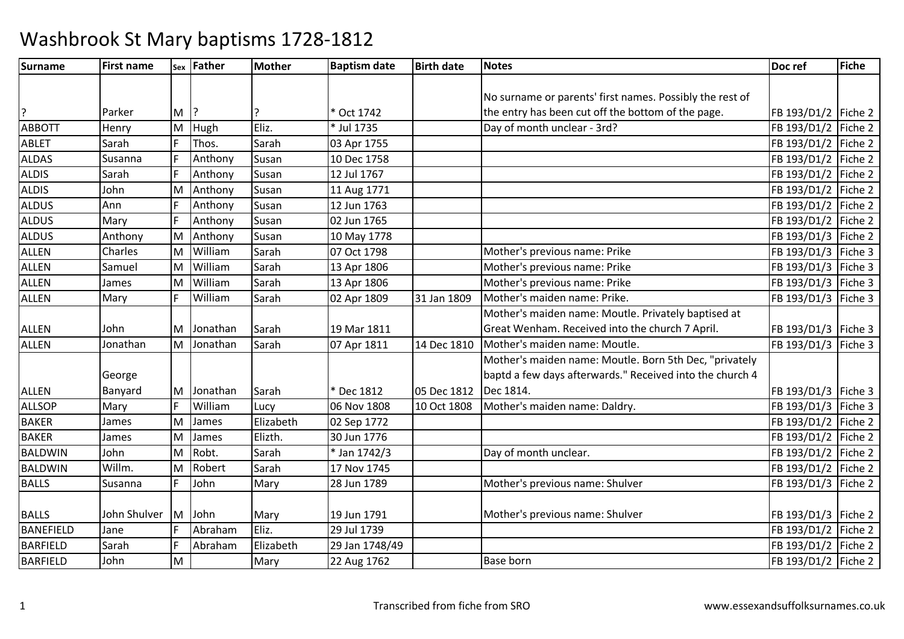| <b>Surname</b>   | <b>First name</b> |          | sex Father | <b>Mother</b> | <b>Baptism date</b> | <b>Birth date</b> | Notes                                                    | Doc ref               | <b>Fiche</b> |
|------------------|-------------------|----------|------------|---------------|---------------------|-------------------|----------------------------------------------------------|-----------------------|--------------|
|                  |                   |          |            |               |                     |                   |                                                          |                       |              |
|                  |                   |          |            |               |                     |                   | No surname or parents' first names. Possibly the rest of |                       |              |
| ?                | Parker            | M        |            |               | * Oct 1742          |                   | the entry has been cut off the bottom of the page.       | FB 193/D1/2   Fiche 2 |              |
| <b>ABBOTT</b>    | Henry             | M        | Hugh       | Eliz.         | * Jul 1735          |                   | Day of month unclear - 3rd?                              | FB 193/D1/2           | Fiche 2      |
| <b>ABLET</b>     | Sarah             |          | Thos.      | Sarah         | 03 Apr 1755         |                   |                                                          | FB 193/D1/2           | Fiche 2      |
| <b>ALDAS</b>     | Susanna           |          | Anthony    | Susan         | 10 Dec 1758         |                   |                                                          | FB 193/D1/2 Fiche 2   |              |
| <b>ALDIS</b>     | Sarah             |          | Anthony    | Susan         | 12 Jul 1767         |                   |                                                          | FB 193/D1/2   Fiche 2 |              |
| <b>ALDIS</b>     | John              | M        | Anthony    | Susan         | 11 Aug 1771         |                   |                                                          | FB 193/D1/2   Fiche 2 |              |
| <b>ALDUS</b>     | Ann               |          | Anthony    | Susan         | 12 Jun 1763         |                   |                                                          | FB 193/D1/2           | Fiche 2      |
| <b>ALDUS</b>     | Mary              |          | Anthony    | Susan         | 02 Jun 1765         |                   |                                                          | FB 193/D1/2 Fiche 2   |              |
| <b>ALDUS</b>     | Anthony           | M        | Anthony    | Susan         | 10 May 1778         |                   |                                                          | FB 193/D1/3   Fiche 2 |              |
| <b>ALLEN</b>     | Charles           | lΜ       | William    | Sarah         | 07 Oct 1798         |                   | Mother's previous name: Prike                            | FB 193/D1/3   Fiche 3 |              |
| <b>ALLEN</b>     | Samuel            | M        | William    | Sarah         | 13 Apr 1806         |                   | Mother's previous name: Prike                            | FB 193/D1/3           | Fiche 3      |
| <b>ALLEN</b>     | James             | <b>M</b> | William    | Sarah         | 13 Apr 1806         |                   | Mother's previous name: Prike                            | FB 193/D1/3   Fiche 3 |              |
| <b>ALLEN</b>     | Mary              |          | William    | Sarah         | 02 Apr 1809         | 31 Jan 1809       | Mother's maiden name: Prike.                             | FB 193/D1/3   Fiche 3 |              |
|                  |                   |          |            |               |                     |                   | Mother's maiden name: Moutle. Privately baptised at      |                       |              |
| <b>ALLEN</b>     | John              | IM.      | Jonathan   | Sarah         | 19 Mar 1811         |                   | Great Wenham. Received into the church 7 April.          | FB 193/D1/3   Fiche 3 |              |
| <b>ALLEN</b>     | Jonathan          | M        | Jonathan   | Sarah         | 07 Apr 1811         | 14 Dec 1810       | Mother's maiden name: Moutle.                            | FB 193/D1/3 Fiche 3   |              |
|                  |                   |          |            |               |                     |                   | Mother's maiden name: Moutle. Born 5th Dec, "privately   |                       |              |
|                  | George            |          |            |               |                     |                   | baptd a few days afterwards." Received into the church 4 |                       |              |
| <b>ALLEN</b>     | Banyard           | M        | Jonathan   | Sarah         | * Dec 1812          | 05 Dec 1812       | Dec 1814.                                                | FB 193/D1/3   Fiche 3 |              |
| <b>ALLSOP</b>    | Mary              |          | William    | Lucy          | 06 Nov 1808         | 10 Oct 1808       | Mother's maiden name: Daldry.                            | FB 193/D1/3 Fiche 3   |              |
| <b>BAKER</b>     | James             | M        | James      | Elizabeth     | 02 Sep 1772         |                   |                                                          | FB 193/D1/2   Fiche 2 |              |
| <b>BAKER</b>     | James             | M        | James      | Elizth.       | 30 Jun 1776         |                   |                                                          | FB 193/D1/2   Fiche 2 |              |
| <b>BALDWIN</b>   | John              | M        | Robt.      | Sarah         | * Jan 1742/3        |                   | Day of month unclear.                                    | FB 193/D1/2   Fiche 2 |              |
| <b>BALDWIN</b>   | Willm.            | M        | Robert     | Sarah         | 17 Nov 1745         |                   |                                                          | FB 193/D1/2   Fiche 2 |              |
| <b>BALLS</b>     | Susanna           | l F      | John       | Mary          | 28 Jun 1789         |                   | Mother's previous name: Shulver                          | FB 193/D1/3   Fiche 2 |              |
|                  |                   |          |            |               |                     |                   |                                                          |                       |              |
| <b>BALLS</b>     | John Shulver      | <b>M</b> | John       | Mary          | 19 Jun 1791         |                   | Mother's previous name: Shulver                          | FB 193/D1/3   Fiche 2 |              |
| <b>BANEFIELD</b> | Jane              |          | Abraham    | Eliz.         | 29 Jul 1739         |                   |                                                          | FB 193/D1/2   Fiche 2 |              |
| <b>BARFIELD</b>  | Sarah             |          | Abraham    | Elizabeth     | 29 Jan 1748/49      |                   |                                                          | FB 193/D1/2   Fiche 2 |              |
| <b>BARFIELD</b>  | John              | M        |            | Mary          | 22 Aug 1762         |                   | <b>Base born</b>                                         | FB 193/D1/2 Fiche 2   |              |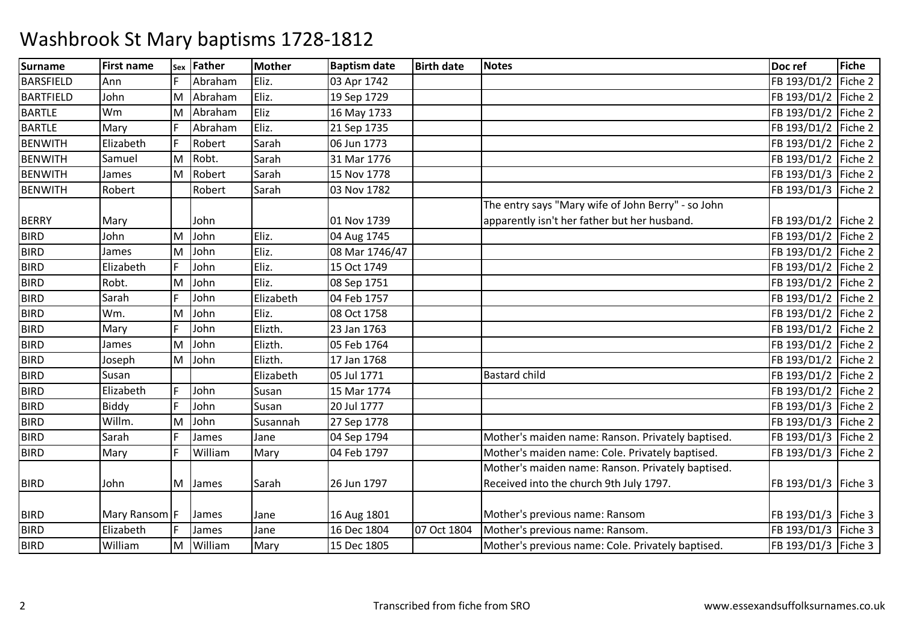| Surname          | <b>First name</b> | Sex | <b>Father</b> | <b>Mother</b> | <b>Baptism date</b> | <b>Birth date</b> | <b>Notes</b>                                       | Doc ref               | <b>Fiche</b> |
|------------------|-------------------|-----|---------------|---------------|---------------------|-------------------|----------------------------------------------------|-----------------------|--------------|
| <b>BARSFIELD</b> | Ann               |     | Abraham       | Eliz.         | 03 Apr 1742         |                   |                                                    | FB 193/D1/2           | Fiche 2      |
| <b>BARTFIELD</b> | John              | M   | Abraham       | Eliz.         | 19 Sep 1729         |                   |                                                    | FB 193/D1/2           | Fiche 2      |
| <b>BARTLE</b>    | <b>Wm</b>         | M   | Abraham       | Eliz          | 16 May 1733         |                   |                                                    | FB 193/D1/2           | Fiche 2      |
| <b>BARTLE</b>    | Mary              | l ⊏ | Abraham       | Eliz.         | 21 Sep 1735         |                   |                                                    | FB 193/D1/2           | Fiche 2      |
| <b>BENWITH</b>   | Elizabeth         | l F | Robert        | Sarah         | 06 Jun 1773         |                   |                                                    | FB 193/D1/2           | Fiche 2      |
| <b>BENWITH</b>   | Samuel            | M   | Robt.         | Sarah         | 31 Mar 1776         |                   |                                                    | FB 193/D1/2           | Fiche 2      |
| BENWITH          | James             | M   | Robert        | Sarah         | 15 Nov 1778         |                   |                                                    | FB 193/D1/3           | Fiche 2      |
| <b>BENWITH</b>   | Robert            |     | Robert        | Sarah         | 03 Nov 1782         |                   |                                                    | FB 193/D1/3           | Fiche 2      |
|                  |                   |     |               |               |                     |                   | The entry says "Mary wife of John Berry" - so John |                       |              |
| <b>BERRY</b>     | Mary              |     | John          |               | 01 Nov 1739         |                   | apparently isn't her father but her husband.       | FB 193/D1/2   Fiche 2 |              |
| <b>BIRD</b>      | John              | M   | John          | Eliz.         | 04 Aug 1745         |                   |                                                    | FB 193/D1/2 Fiche 2   |              |
| <b>BIRD</b>      | James             | M   | John          | Eliz.         | 08 Mar 1746/47      |                   |                                                    | FB 193/D1/2 Fiche 2   |              |
| <b>BIRD</b>      | Elizabeth         |     | John          | Eliz.         | 15 Oct 1749         |                   |                                                    | FB 193/D1/2           | Fiche 2      |
| <b>BIRD</b>      | Robt.             | M   | John          | Eliz.         | 08 Sep 1751         |                   |                                                    | FB 193/D1/2 Fiche 2   |              |
| <b>BIRD</b>      | Sarah             |     | John          | Elizabeth     | 04 Feb 1757         |                   |                                                    | FB 193/D1/2 Fiche 2   |              |
| <b>BIRD</b>      | Wm.               | M   | John          | Eliz.         | 08 Oct 1758         |                   |                                                    | FB 193/D1/2           | Fiche 2      |
| <b>BIRD</b>      | Mary              | l c | John          | Elizth.       | 23 Jan 1763         |                   |                                                    | FB 193/D1/2 Fiche 2   |              |
| <b>BIRD</b>      | James             | M   | John          | Elizth.       | 05 Feb 1764         |                   |                                                    | FB 193/D1/2           | Fiche 2      |
| <b>BIRD</b>      | Joseph            | M   | John          | Elizth.       | 17 Jan 1768         |                   |                                                    | FB 193/D1/2           | Fiche 2      |
| <b>BIRD</b>      | Susan             |     |               | Elizabeth     | 05 Jul 1771         |                   | <b>Bastard child</b>                               | FB 193/D1/2           | Fiche 2      |
| <b>BIRD</b>      | Elizabeth         |     | John          | Susan         | 15 Mar 1774         |                   |                                                    | FB 193/D1/2           | Fiche 2      |
| <b>BIRD</b>      | Biddy             |     | John          | Susan         | 20 Jul 1777         |                   |                                                    | FB 193/D1/3           | Fiche 2      |
| <b>BIRD</b>      | Willm.            | ΙM  | John          | Susannah      | 27 Sep 1778         |                   |                                                    | FB 193/D1/3           | Fiche 2      |
| <b>BIRD</b>      | Sarah             | l ⊏ | James         | Jane          | 04 Sep 1794         |                   | Mother's maiden name: Ranson. Privately baptised.  | FB 193/D1/3           | Fiche 2      |
| <b>BIRD</b>      | Mary              | l F | William       | Mary          | 04 Feb 1797         |                   | Mother's maiden name: Cole. Privately baptised.    | FB 193/D1/3           | Fiche 2      |
|                  |                   |     |               |               |                     |                   | Mother's maiden name: Ranson. Privately baptised.  |                       |              |
| <b>BIRD</b>      | John              | M   | James         | Sarah         | 26 Jun 1797         |                   | Received into the church 9th July 1797.            | FB 193/D1/3 Fiche 3   |              |
|                  |                   |     |               |               |                     |                   |                                                    |                       |              |
| <b>BIRD</b>      | Mary Ransom F     |     | James         | Jane          | 16 Aug 1801         |                   | Mother's previous name: Ransom                     | FB 193/D1/3   Fiche 3 |              |
| <b>BIRD</b>      | Elizabeth         |     | James         | Jane          | 16 Dec 1804         | 07 Oct 1804       | Mother's previous name: Ransom.                    | FB 193/D1/3           | Fiche 3      |
| <b>BIRD</b>      | William           | M   | William       | Mary          | 15 Dec 1805         |                   | Mother's previous name: Cole. Privately baptised.  | FB 193/D1/3   Fiche 3 |              |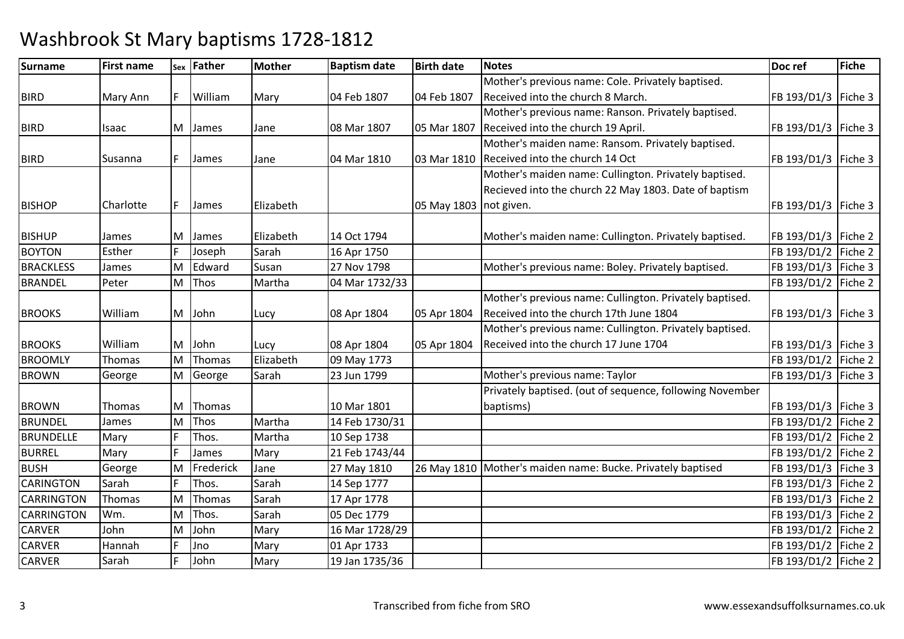| <b>Surname</b>    | <b>First name</b> |    | sex Father  | Mother    | <b>Baptism date</b> | <b>Birth date</b>      | <b>Notes</b>                                                | Doc ref               | <b>Fiche</b> |
|-------------------|-------------------|----|-------------|-----------|---------------------|------------------------|-------------------------------------------------------------|-----------------------|--------------|
|                   |                   |    |             |           |                     |                        | Mother's previous name: Cole. Privately baptised.           |                       |              |
| <b>BIRD</b>       | Mary Ann          | F  | William     | Mary      | 04 Feb 1807         | 04 Feb 1807            | Received into the church 8 March.                           | FB 193/D1/3           | Fiche 3      |
|                   |                   |    |             |           |                     |                        | Mother's previous name: Ranson. Privately baptised.         |                       |              |
| <b>BIRD</b>       | Isaac             |    | M James     | Jane      | 08 Mar 1807         | 05 Mar 1807            | Received into the church 19 April.                          | FB 193/D1/3   Fiche 3 |              |
|                   |                   |    |             |           |                     |                        | Mother's maiden name: Ransom. Privately baptised.           |                       |              |
| <b>BIRD</b>       | Susanna           |    | James       | Jane      | 04 Mar 1810         | 03 Mar 1810            | Received into the church 14 Oct                             | FB 193/D1/3   Fiche 3 |              |
|                   |                   |    |             |           |                     |                        | Mother's maiden name: Cullington. Privately baptised.       |                       |              |
|                   |                   |    |             |           |                     |                        | Recieved into the church 22 May 1803. Date of baptism       |                       |              |
| <b>BISHOP</b>     | Charlotte         |    | James       | Elizabeth |                     | 05 May 1803 not given. |                                                             | FB 193/D1/3   Fiche 3 |              |
|                   |                   |    |             |           |                     |                        |                                                             |                       |              |
| <b>BISHUP</b>     | James             | M  | James       | Elizabeth | 14 Oct 1794         |                        | Mother's maiden name: Cullington. Privately baptised.       | FB 193/D1/3   Fiche 2 |              |
| <b>BOYTON</b>     | Esther            |    | Joseph      | Sarah     | 16 Apr 1750         |                        |                                                             | FB 193/D1/2           | Fiche 2      |
| <b>BRACKLESS</b>  | James             | M  | Edward      | Susan     | 27 Nov 1798         |                        | Mother's previous name: Boley. Privately baptised.          | FB 193/D1/3   Fiche 3 |              |
| <b>BRANDEL</b>    | Peter             |    | M Thos      | Martha    | 04 Mar 1732/33      |                        |                                                             | FB 193/D1/2   Fiche 2 |              |
|                   |                   |    |             |           |                     |                        | Mother's previous name: Cullington. Privately baptised.     |                       |              |
| <b>BROOKS</b>     | William           |    | M John      | Lucy      | 08 Apr 1804         | 05 Apr 1804            | Received into the church 17th June 1804                     | FB 193/D1/3   Fiche 3 |              |
|                   |                   |    |             |           |                     |                        | Mother's previous name: Cullington. Privately baptised.     |                       |              |
| <b>BROOKS</b>     | William           |    | M John      | Lucy      | 08 Apr 1804         | 05 Apr 1804            | Received into the church 17 June 1704                       | FB 193/D1/3   Fiche 3 |              |
| <b>BROOMLY</b>    | <b>Thomas</b>     | M  | Thomas      | Elizabeth | 09 May 1773         |                        |                                                             | FB 193/D1/2   Fiche 2 |              |
| <b>BROWN</b>      | George            |    | M George    | Sarah     | 23 Jun 1799         |                        | Mother's previous name: Taylor                              | FB 193/D1/3   Fiche 3 |              |
|                   |                   |    |             |           |                     |                        | Privately baptised. (out of sequence, following November    |                       |              |
| <b>BROWN</b>      | <b>Thomas</b>     |    | M Thomas    |           | 10 Mar 1801         |                        | baptisms)                                                   | FB 193/D1/3   Fiche 3 |              |
| <b>BRUNDEL</b>    | James             | M  | <b>Thos</b> | Martha    | 14 Feb 1730/31      |                        |                                                             | FB 193/D1/2           | Fiche 2      |
| <b>BRUNDELLE</b>  | Mary              |    | Thos.       | Martha    | 10 Sep 1738         |                        |                                                             | FB 193/D1/2   Fiche 2 |              |
| <b>BURREL</b>     | Mary              |    | James       | Mary      | 21 Feb 1743/44      |                        |                                                             | FB 193/D1/2   Fiche 2 |              |
| <b>BUSH</b>       | George            | M  | Frederick   | Jane      | 27 May 1810         |                        | 26 May 1810 Mother's maiden name: Bucke. Privately baptised | FB 193/D1/3           | Fiche 3      |
| <b>CARINGTON</b>  | Sarah             |    | Thos.       | Sarah     | 14 Sep 1777         |                        |                                                             | FB 193/D1/3   Fiche 2 |              |
| <b>CARRINGTON</b> | Thomas            | Iм | Thomas      | Sarah     | 17 Apr 1778         |                        |                                                             | FB 193/D1/3   Fiche 2 |              |
| <b>CARRINGTON</b> | Wm.               | M  | Thos.       | Sarah     | 05 Dec 1779         |                        |                                                             | FB 193/D1/3   Fiche 2 |              |
| <b>CARVER</b>     | John              | M  | John        | Mary      | 16 Mar 1728/29      |                        |                                                             | FB 193/D1/2   Fiche 2 |              |
| <b>CARVER</b>     | Hannah            |    | Jno         | Mary      | 01 Apr 1733         |                        |                                                             | FB 193/D1/2           | Fiche 2      |
| <b>CARVER</b>     | Sarah             |    | John        | Mary      | 19 Jan 1735/36      |                        |                                                             | FB 193/D1/2   Fiche 2 |              |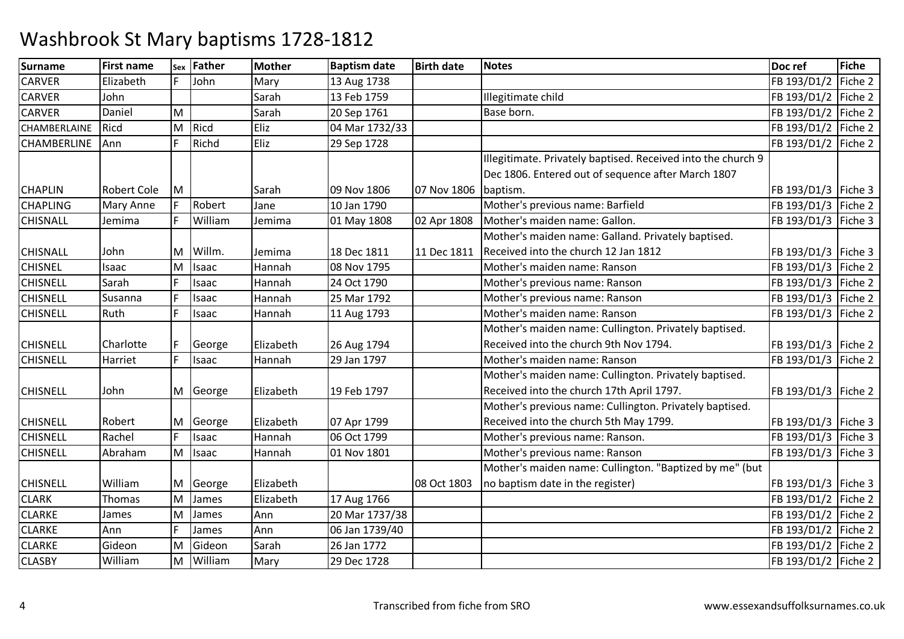| Surname            | <b>First name</b>  | Sex | Father  | Mother    | <b>Baptism date</b> | <b>Birth date</b> | <b>Notes</b>                                                 | Doc ref               | Fiche   |
|--------------------|--------------------|-----|---------|-----------|---------------------|-------------------|--------------------------------------------------------------|-----------------------|---------|
| <b>CARVER</b>      | Elizabeth          |     | John    | Mary      | 13 Aug 1738         |                   |                                                              | FB 193/D1/2           | Fiche 2 |
| <b>CARVER</b>      | John               |     |         | Sarah     | 13 Feb 1759         |                   | Illegitimate child                                           | FB 193/D1/2   Fiche 2 |         |
| <b>CARVER</b>      | Daniel             | M   |         | Sarah     | 20 Sep 1761         |                   | Base born.                                                   | FB 193/D1/2   Fiche 2 |         |
| CHAMBERLAINE       | Ricd               | M   | Ricd    | Eliz      | 04 Mar 1732/33      |                   |                                                              | FB 193/D1/2   Fiche 2 |         |
| <b>CHAMBERLINE</b> | Ann                |     | Richd   | Eliz      | 29 Sep 1728         |                   |                                                              | FB 193/D1/2 Fiche 2   |         |
|                    |                    |     |         |           |                     |                   | Illegitimate. Privately baptised. Received into the church 9 |                       |         |
|                    |                    |     |         |           |                     |                   | Dec 1806. Entered out of sequence after March 1807           |                       |         |
| <b>CHAPLIN</b>     | <b>Robert Cole</b> | M   |         | Sarah     | 09 Nov 1806         | 07 Nov 1806       | baptism.                                                     | FB 193/D1/3   Fiche 3 |         |
| <b>CHAPLING</b>    | Mary Anne          |     | Robert  | Jane      | 10 Jan 1790         |                   | Mother's previous name: Barfield                             | FB 193/D1/3 Fiche 2   |         |
| <b>CHISNALL</b>    | Jemima             |     | William | Jemima    | 01 May 1808         | 02 Apr 1808       | Mother's maiden name: Gallon.                                | FB 193/D1/3 Fiche 3   |         |
|                    |                    |     |         |           |                     |                   | Mother's maiden name: Galland. Privately baptised.           |                       |         |
| <b>CHISNALL</b>    | John               | M   | Willm.  | Jemima    | 18 Dec 1811         | 11 Dec 1811       | Received into the church 12 Jan 1812                         | FB 193/D1/3   Fiche 3 |         |
| <b>CHISNEL</b>     | Isaac              | M   | Isaac   | Hannah    | 08 Nov 1795         |                   | Mother's maiden name: Ranson                                 | FB 193/D1/3 Fiche 2   |         |
| <b>CHISNELL</b>    | Sarah              |     | Isaac   | Hannah    | 24 Oct 1790         |                   | Mother's previous name: Ranson                               | FB 193/D1/3 Fiche 2   |         |
| <b>CHISNELL</b>    | Susanna            |     | Isaac   | Hannah    | 25 Mar 1792         |                   | Mother's previous name: Ranson                               | FB 193/D1/3 Fiche 2   |         |
| <b>CHISNELL</b>    | Ruth               |     | Isaac   | Hannah    | 11 Aug 1793         |                   | Mother's maiden name: Ranson                                 | FB 193/D1/3 Fiche 2   |         |
|                    |                    |     |         |           |                     |                   | Mother's maiden name: Cullington. Privately baptised.        |                       |         |
| <b>CHISNELL</b>    | Charlotte          |     | George  | Elizabeth | 26 Aug 1794         |                   | Received into the church 9th Nov 1794.                       | FB 193/D1/3   Fiche 2 |         |
| <b>CHISNELL</b>    | Harriet            |     | Isaac   | Hannah    | 29 Jan 1797         |                   | Mother's maiden name: Ranson                                 | FB 193/D1/3 Fiche 2   |         |
|                    |                    |     |         |           |                     |                   | Mother's maiden name: Cullington. Privately baptised.        |                       |         |
| <b>CHISNELL</b>    | John               | M   | George  | Elizabeth | 19 Feb 1797         |                   | Received into the church 17th April 1797.                    | FB 193/D1/3   Fiche 2 |         |
|                    |                    |     |         |           |                     |                   | Mother's previous name: Cullington. Privately baptised.      |                       |         |
| <b>CHISNELL</b>    | Robert             | M   | George  | Elizabeth | 07 Apr 1799         |                   | Received into the church 5th May 1799.                       | FB 193/D1/3   Fiche 3 |         |
| <b>CHISNELL</b>    | Rachel             |     | Isaac   | Hannah    | 06 Oct 1799         |                   | Mother's previous name: Ranson.                              | FB 193/D1/3   Fiche 3 |         |
| <b>CHISNELL</b>    | Abraham            | M   | Isaac   | Hannah    | 01 Nov 1801         |                   | Mother's previous name: Ranson                               | FB 193/D1/3   Fiche 3 |         |
|                    |                    |     |         |           |                     |                   | Mother's maiden name: Cullington. "Baptized by me" (but      |                       |         |
| <b>CHISNELL</b>    | William            | M   | George  | Elizabeth |                     | 08 Oct 1803       | no baptism date in the register)                             | FB 193/D1/3   Fiche 3 |         |
| <b>CLARK</b>       | Thomas             | ΙM  | James   | Elizabeth | 17 Aug 1766         |                   |                                                              | FB 193/D1/2 Fiche 2   |         |
| <b>CLARKE</b>      | James              | M   | James   | Ann       | 20 Mar 1737/38      |                   |                                                              | FB 193/D1/2   Fiche 2 |         |
| <b>CLARKE</b>      | Ann                |     | James   | Ann       | 06 Jan 1739/40      |                   |                                                              | FB 193/D1/2 Fiche 2   |         |
| <b>CLARKE</b>      | Gideon             | M   | Gideon  | Sarah     | 26 Jan 1772         |                   |                                                              | FB 193/D1/2 Fiche 2   |         |
| <b>CLASBY</b>      | William            | M   | William | Mary      | 29 Dec 1728         |                   |                                                              | FB 193/D1/2 Fiche 2   |         |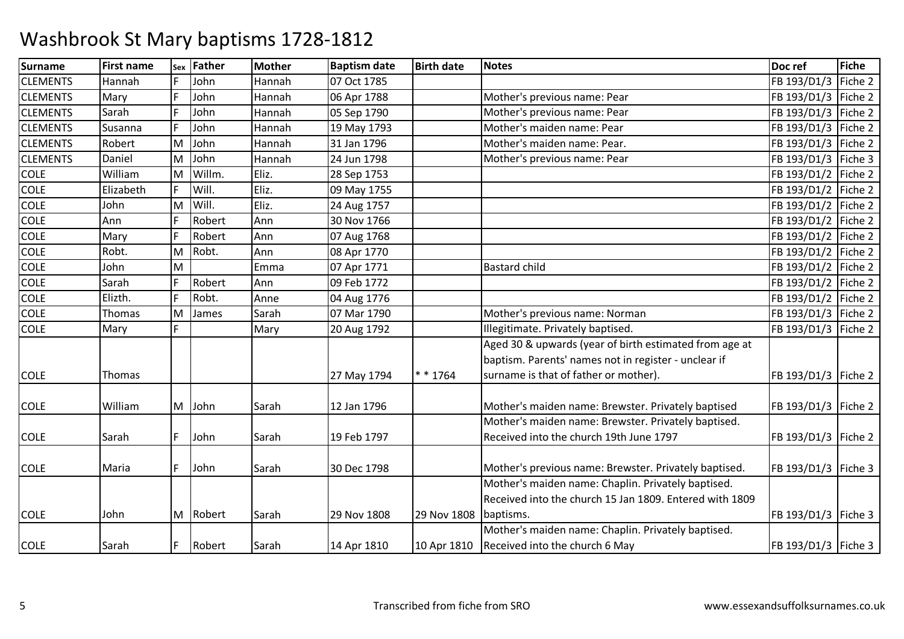| <b>Surname</b>  | <b>First name</b> | Sex | <b>Father</b> | Mother | <b>Baptism date</b> | <b>Birth date</b> | <b>Notes</b>                                            | Doc ref               | <b>Fiche</b> |
|-----------------|-------------------|-----|---------------|--------|---------------------|-------------------|---------------------------------------------------------|-----------------------|--------------|
| <b>CLEMENTS</b> | Hannah            |     | John          | Hannah | 07 Oct 1785         |                   |                                                         | FB 193/D1/3           | Fiche 2      |
| <b>CLEMENTS</b> | Mary              |     | John          | Hannah | 06 Apr 1788         |                   | Mother's previous name: Pear                            | FB 193/D1/3           | Fiche 2      |
| <b>CLEMENTS</b> | Sarah             |     | John          | Hannah | 05 Sep 1790         |                   | Mother's previous name: Pear                            | FB 193/D1/3           | Fiche 2      |
| <b>CLEMENTS</b> | Susanna           |     | John          | Hannah | 19 May 1793         |                   | Mother's maiden name: Pear                              | FB 193/D1/3 Fiche 2   |              |
| <b>CLEMENTS</b> | Robert            | M   | John          | Hannah | 31 Jan 1796         |                   | Mother's maiden name: Pear.                             | FB 193/D1/3           | Fiche 2      |
| <b>CLEMENTS</b> | Daniel            | M   | John          | Hannah | 24 Jun 1798         |                   | Mother's previous name: Pear                            | FB 193/D1/3           | Fiche 3      |
| <b>COLE</b>     | William           | lΜ  | Willm.        | Eliz.  | 28 Sep 1753         |                   |                                                         | FB 193/D1/2 Fiche 2   |              |
| <b>COLE</b>     | Elizabeth         | E   | Will.         | Eliz.  | 09 May 1755         |                   |                                                         | FB 193/D1/2 Fiche 2   |              |
| <b>COLE</b>     | John              | M   | Will.         | Eliz.  | 24 Aug 1757         |                   |                                                         | FB 193/D1/2           | Fiche 2      |
| <b>COLE</b>     | Ann               |     | Robert        | Ann    | 30 Nov 1766         |                   |                                                         | FB 193/D1/2 Fiche 2   |              |
| <b>COLE</b>     | Mary              | Ŀ   | Robert        | Ann    | 07 Aug 1768         |                   |                                                         | FB 193/D1/2 Fiche 2   |              |
| <b>COLE</b>     | Robt.             | M   | Robt.         | Ann    | 08 Apr 1770         |                   |                                                         | FB 193/D1/2           | Fiche 2      |
| <b>COLE</b>     | John              | M   |               | Emma   | 07 Apr 1771         |                   | <b>Bastard child</b>                                    | FB 193/D1/2   Fiche 2 |              |
| <b>COLE</b>     | Sarah             | F   | Robert        | Ann    | 09 Feb 1772         |                   |                                                         | FB 193/D1/2 Fiche 2   |              |
| <b>COLE</b>     | Elizth.           |     | Robt.         | Anne   | 04 Aug 1776         |                   |                                                         | FB 193/D1/2           | Fiche 2      |
| <b>COLE</b>     | Thomas            | lΜ  | James         | Sarah  | 07 Mar 1790         |                   | Mother's previous name: Norman                          | FB 193/D1/3   Fiche 2 |              |
| <b>COLE</b>     | Mary              |     |               | Mary   | 20 Aug 1792         |                   | Illegitimate. Privately baptised.                       | FB 193/D1/3 Fiche 2   |              |
|                 |                   |     |               |        |                     |                   | Aged 30 & upwards (year of birth estimated from age at  |                       |              |
|                 |                   |     |               |        |                     |                   | baptism. Parents' names not in register - unclear if    |                       |              |
| <b>COLE</b>     | Thomas            |     |               |        | 27 May 1794         | $* * 1764$        | surname is that of father or mother).                   | FB 193/D1/3   Fiche 2 |              |
|                 |                   |     |               |        |                     |                   |                                                         |                       |              |
| <b>COLE</b>     | William           |     | M John        | Sarah  | 12 Jan 1796         |                   | Mother's maiden name: Brewster. Privately baptised      | FB 193/D1/3   Fiche 2 |              |
|                 |                   |     |               |        |                     |                   | Mother's maiden name: Brewster. Privately baptised.     |                       |              |
| <b>COLE</b>     | Sarah             |     | John          | Sarah  | 19 Feb 1797         |                   | Received into the church 19th June 1797                 | FB 193/D1/3   Fiche 2 |              |
|                 |                   |     |               |        |                     |                   |                                                         |                       |              |
| <b>COLE</b>     | Maria             |     | John          | Sarah  | 30 Dec 1798         |                   | Mother's previous name: Brewster. Privately baptised.   | FB 193/D1/3   Fiche 3 |              |
|                 |                   |     |               |        |                     |                   | Mother's maiden name: Chaplin. Privately baptised.      |                       |              |
|                 |                   |     |               |        |                     |                   | Received into the church 15 Jan 1809. Entered with 1809 |                       |              |
| <b>COLE</b>     | John              |     | M Robert      | Sarah  | 29 Nov 1808         | 29 Nov 1808       | baptisms.                                               | FB 193/D1/3   Fiche 3 |              |
|                 |                   |     |               |        |                     |                   | Mother's maiden name: Chaplin. Privately baptised.      |                       |              |
| <b>COLE</b>     | Sarah             | F   | Robert        | Sarah  | 14 Apr 1810         | 10 Apr 1810       | Received into the church 6 May                          | FB 193/D1/3   Fiche 3 |              |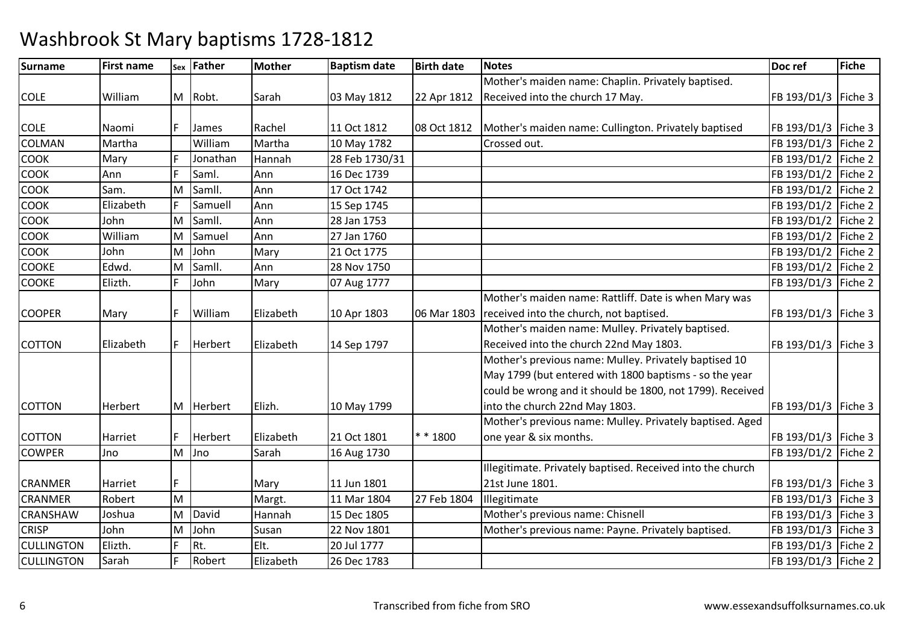| <b>Surname</b>    | <b>First name</b> |   | sex Father     | <b>Mother</b> | <b>Baptism date</b> | <b>Birth date</b> | <b>Notes</b>                                               | Doc ref               | <b>Fiche</b> |
|-------------------|-------------------|---|----------------|---------------|---------------------|-------------------|------------------------------------------------------------|-----------------------|--------------|
|                   |                   |   |                |               |                     |                   | Mother's maiden name: Chaplin. Privately baptised.         |                       |              |
| <b>COLE</b>       | William           |   | M Robt.        | Sarah         | 03 May 1812         | 22 Apr 1812       | Received into the church 17 May.                           | FB 193/D1/3           | Fiche 3      |
|                   |                   |   |                |               |                     |                   |                                                            |                       |              |
| <b>COLE</b>       | Naomi             |   | James          | Rachel        | 11 Oct 1812         | 08 Oct 1812       | Mother's maiden name: Cullington. Privately baptised       | FB 193/D1/3   Fiche 3 |              |
| COLMAN            | Martha            |   | William        | Martha        | 10 May 1782         |                   | Crossed out.                                               | FB 193/D1/3 Fiche 2   |              |
| <b>COOK</b>       | Mary              |   | Jonathan       | Hannah        | 28 Feb 1730/31      |                   |                                                            | FB 193/D1/2 Fiche 2   |              |
| COOK              | Ann               |   | Saml.          | Ann           | 16 Dec 1739         |                   |                                                            | FB 193/D1/2   Fiche 2 |              |
| COOK              | Sam.              | M | Samll.         | Ann           | 17 Oct 1742         |                   |                                                            | FB 193/D1/2 Fiche 2   |              |
| <b>COOK</b>       | Elizabeth         |   | Samuell        | Ann           | 15 Sep 1745         |                   |                                                            | FB 193/D1/2   Fiche 2 |              |
| COOK              | John              | M | Samll.         | Ann           | 28 Jan 1753         |                   |                                                            | FB 193/D1/2 Fiche 2   |              |
| COOK              | William           | M | Samuel         | Ann           | 27 Jan 1760         |                   |                                                            | FB 193/D1/2   Fiche 2 |              |
| <b>COOK</b>       | John              | M | John           | Mary          | 21 Oct 1775         |                   |                                                            | FB 193/D1/2           | Fiche 2      |
| <b>COOKE</b>      | Edwd.             | M | Samll.         | Ann           | 28 Nov 1750         |                   |                                                            | FB 193/D1/2           | Fiche 2      |
| <b>COOKE</b>      | Elizth.           |   | John           | Mary          | 07 Aug 1777         |                   |                                                            | FB 193/D1/3   Fiche 2 |              |
|                   |                   |   |                |               |                     |                   | Mother's maiden name: Rattliff. Date is when Mary was      |                       |              |
| <b>COOPER</b>     | Mary              |   | William        | Elizabeth     | 10 Apr 1803         | 06 Mar 1803       | received into the church, not baptised.                    | FB 193/D1/3   Fiche 3 |              |
|                   |                   |   |                |               |                     |                   | Mother's maiden name: Mulley. Privately baptised.          |                       |              |
| <b>COTTON</b>     | Elizabeth         |   | Herbert        | Elizabeth     | 14 Sep 1797         |                   | Received into the church 22nd May 1803.                    | FB 193/D1/3   Fiche 3 |              |
|                   |                   |   |                |               |                     |                   | Mother's previous name: Mulley. Privately baptised 10      |                       |              |
|                   |                   |   |                |               |                     |                   | May 1799 (but entered with 1800 baptisms - so the year     |                       |              |
|                   |                   |   |                |               |                     |                   | could be wrong and it should be 1800, not 1799). Received  |                       |              |
| <b>COTTON</b>     | Herbert           |   | M Herbert      | Elizh.        | 10 May 1799         |                   | into the church 22nd May 1803.                             | FB 193/D1/3   Fiche 3 |              |
|                   |                   |   |                |               |                     |                   | Mother's previous name: Mulley. Privately baptised. Aged   |                       |              |
| <b>COTTON</b>     | Harriet           |   | <b>Herbert</b> | Elizabeth     | 21 Oct 1801         | $* * 1800$        | one year & six months.                                     | FB 193/D1/3   Fiche 3 |              |
| <b>COWPER</b>     | Jno               | M | Jno            | Sarah         | 16 Aug 1730         |                   |                                                            | FB 193/D1/2 Fiche 2   |              |
|                   |                   |   |                |               |                     |                   | Illegitimate. Privately baptised. Received into the church |                       |              |
| CRANMER           | Harriet           |   |                | Mary          | 11 Jun 1801         |                   | 21st June 1801.                                            | FB 193/D1/3   Fiche 3 |              |
| <b>CRANMER</b>    | Robert            | M |                | Margt.        | 11 Mar 1804         | 27 Feb 1804       | Illegitimate                                               | FB 193/D1/3           | Fiche 3      |
| CRANSHAW          | Joshua            | M | David          | Hannah        | 15 Dec 1805         |                   | Mother's previous name: Chisnell                           | FB 193/D1/3   Fiche 3 |              |
| <b>CRISP</b>      | John              | M | John           | Susan         | 22 Nov 1801         |                   | Mother's previous name: Payne. Privately baptised.         | FB 193/D1/3   Fiche 3 |              |
| <b>CULLINGTON</b> | Elizth.           |   | Rt.            | Elt.          | 20 Jul 1777         |                   |                                                            | FB 193/D1/3   Fiche 2 |              |
| <b>CULLINGTON</b> | Sarah             |   | Robert         | Elizabeth     | 26 Dec 1783         |                   |                                                            | FB 193/D1/3   Fiche 2 |              |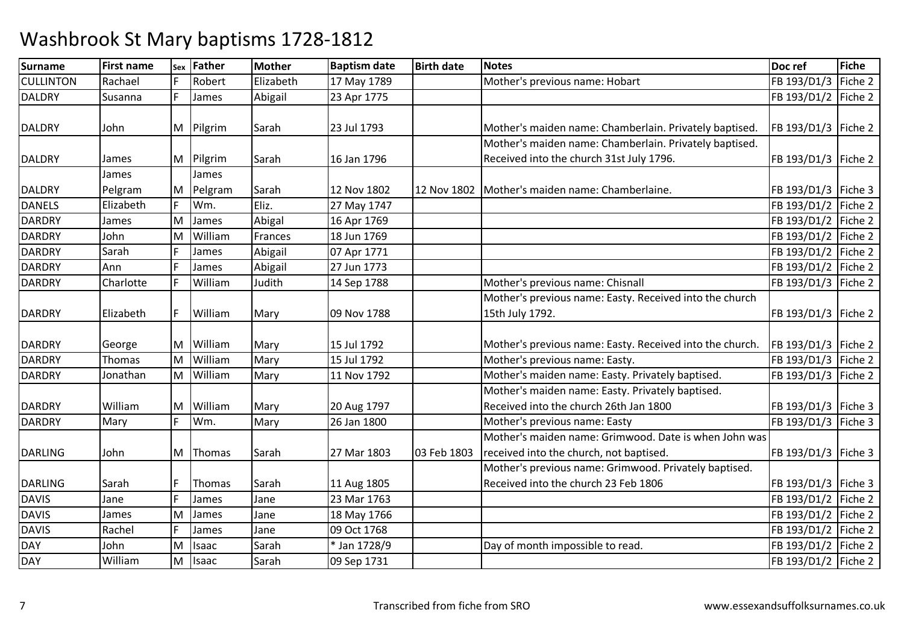| <b>Surname</b>   | <b>First name</b> | Sex          | Father    | <b>Mother</b> | <b>Baptism date</b> | <b>Birth date</b> | <b>Notes</b>                                             | Doc ref               | <b>Fiche</b> |
|------------------|-------------------|--------------|-----------|---------------|---------------------|-------------------|----------------------------------------------------------|-----------------------|--------------|
| <b>CULLINTON</b> | Rachael           |              | Robert    | Elizabeth     | 17 May 1789         |                   | Mother's previous name: Hobart                           | FB 193/D1/3           | Fiche 2      |
| <b>DALDRY</b>    | Susanna           |              | James     | Abigail       | 23 Apr 1775         |                   |                                                          | FB 193/D1/2           | Fiche 2      |
|                  |                   |              |           |               |                     |                   |                                                          |                       |              |
| <b>DALDRY</b>    | John              |              | M Pilgrim | Sarah         | 23 Jul 1793         |                   | Mother's maiden name: Chamberlain. Privately baptised.   | FB 193/D1/3   Fiche 2 |              |
|                  |                   |              |           |               |                     |                   | Mother's maiden name: Chamberlain. Privately baptised.   |                       |              |
| <b>DALDRY</b>    | James             |              | M Pilgrim | Sarah         | 16 Jan 1796         |                   | Received into the church 31st July 1796.                 | FB 193/D1/3   Fiche 2 |              |
|                  | James             |              | James     |               |                     |                   |                                                          |                       |              |
| <b>DALDRY</b>    | Pelgram           | ΙM           | Pelgram   | Sarah         | 12 Nov 1802         | 12 Nov 1802       | Mother's maiden name: Chamberlaine.                      | FB 193/D1/3   Fiche 3 |              |
| <b>DANELS</b>    | Elizabeth         |              | Wm.       | Eliz.         | 27 May 1747         |                   |                                                          | FB 193/D1/2   Fiche 2 |              |
| <b>DARDRY</b>    | James             | M            | James     | Abigal        | 16 Apr 1769         |                   |                                                          | FB 193/D1/2 Fiche 2   |              |
| <b>DARDRY</b>    | John              | ΙM           | William   | Frances       | 18 Jun 1769         |                   |                                                          | FB 193/D1/2   Fiche 2 |              |
| <b>DARDRY</b>    | Sarah             |              | James     | Abigail       | 07 Apr 1771         |                   |                                                          | FB 193/D1/2           | Fiche 2      |
| <b>DARDRY</b>    | Ann               |              | James     | Abigail       | 27 Jun 1773         |                   |                                                          | FB 193/D1/2           | Fiche 2      |
| <b>DARDRY</b>    | Charlotte         |              | William   | Judith        | 14 Sep 1788         |                   | Mother's previous name: Chisnall                         | FB 193/D1/3           | Fiche 2      |
|                  |                   |              |           |               |                     |                   | Mother's previous name: Easty. Received into the church  |                       |              |
| <b>DARDRY</b>    | Elizabeth         |              | William   | Mary          | 09 Nov 1788         |                   | 15th July 1792.                                          | FB 193/D1/3           | Fiche 2      |
|                  |                   |              |           |               |                     |                   |                                                          |                       |              |
| <b>DARDRY</b>    | George            | M            | William   | Mary          | 15 Jul 1792         |                   | Mother's previous name: Easty. Received into the church. | FB 193/D1/3   Fiche 2 |              |
| <b>DARDRY</b>    | Thomas            | M            | William   | Mary          | 15 Jul 1792         |                   | Mother's previous name: Easty.                           | FB 193/D1/3 Fiche 2   |              |
| <b>DARDRY</b>    | Jonathan          | M            | William   | Mary          | 11 Nov 1792         |                   | Mother's maiden name: Easty. Privately baptised.         | FB 193/D1/3           | Fiche 2      |
|                  |                   |              |           |               |                     |                   | Mother's maiden name: Easty. Privately baptised.         |                       |              |
| <b>DARDRY</b>    | William           | M            | William   | Mary          | 20 Aug 1797         |                   | Received into the church 26th Jan 1800                   | FB 193/D1/3   Fiche 3 |              |
| <b>DARDRY</b>    | Mary              | $\mathbf{F}$ | Wm.       | Mary          | 26 Jan 1800         |                   | Mother's previous name: Easty                            | FB 193/D1/3           | Fiche 3      |
|                  |                   |              |           |               |                     |                   | Mother's maiden name: Grimwood. Date is when John was    |                       |              |
| <b>DARLING</b>   | John              |              | M Thomas  | Sarah         | 27 Mar 1803         | 03 Feb 1803       | received into the church, not baptised.                  | FB 193/D1/3   Fiche 3 |              |
|                  |                   |              |           |               |                     |                   | Mother's previous name: Grimwood. Privately baptised.    |                       |              |
| <b>DARLING</b>   | Sarah             |              | Thomas    | Sarah         | 11 Aug 1805         |                   | Received into the church 23 Feb 1806                     | FB 193/D1/3   Fiche 3 |              |
| <b>DAVIS</b>     | Jane              | l ⊏          | James     | Jane          | 23 Mar 1763         |                   |                                                          | FB 193/D1/2 Fiche 2   |              |
| <b>DAVIS</b>     | James             | M            | James     | Jane          | 18 May 1766         |                   |                                                          | FB 193/D1/2           | Fiche 2      |
| <b>DAVIS</b>     | Rachel            |              | James     | Jane          | 09 Oct 1768         |                   |                                                          | FB 193/D1/2   Fiche 2 |              |
| <b>DAY</b>       | John              | M            | Isaac     | Sarah         | * Jan 1728/9        |                   | Day of month impossible to read.                         | FB 193/D1/2   Fiche 2 |              |
| <b>DAY</b>       | William           | M            | Isaac     | Sarah         | 09 Sep 1731         |                   |                                                          | FB 193/D1/2   Fiche 2 |              |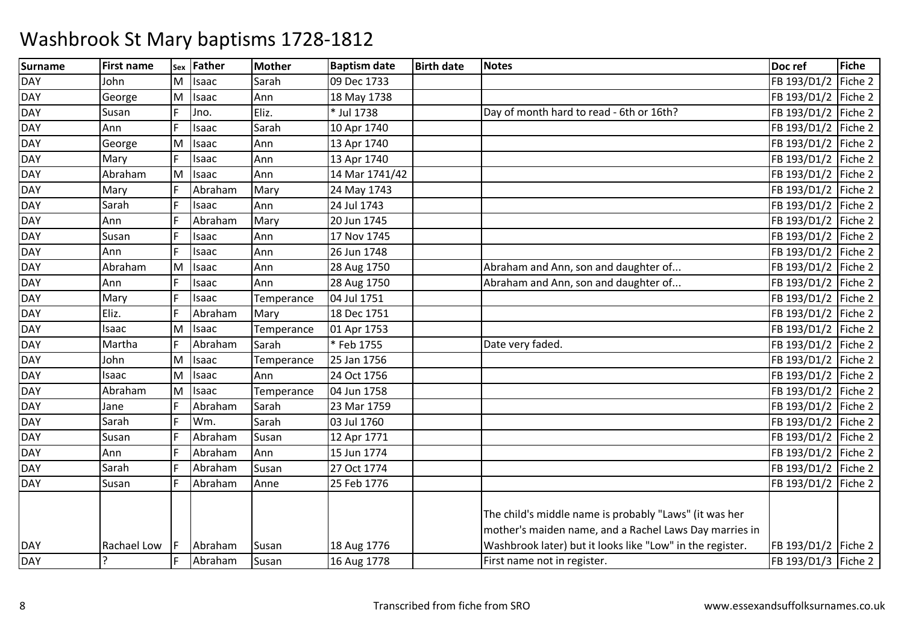| <b>Surname</b> | <b>First name</b> | Sex | Father  | <b>Mother</b> | <b>Baptism date</b> | <b>Birth date</b> | <b>Notes</b>                                              | Doc ref               | Fiche   |
|----------------|-------------------|-----|---------|---------------|---------------------|-------------------|-----------------------------------------------------------|-----------------------|---------|
| <b>DAY</b>     | John              | M   | Isaac   | Sarah         | 09 Dec 1733         |                   |                                                           | FB 193/D1/2           | Fiche 2 |
| <b>DAY</b>     | George            | M   | Isaac   | Ann           | 18 May 1738         |                   |                                                           | FB 193/D1/2 Fiche 2   |         |
| <b>DAY</b>     | Susan             |     | Jno.    | Eliz.         | * Jul 1738          |                   | Day of month hard to read - 6th or 16th?                  | FB 193/D1/2 Fiche 2   |         |
| <b>DAY</b>     | Ann               |     | Isaac   | Sarah         | 10 Apr 1740         |                   |                                                           | FB 193/D1/2           | Fiche 2 |
| <b>DAY</b>     | George            | M   | Isaac   | Ann           | 13 Apr 1740         |                   |                                                           | FB 193/D1/2           | Fiche 2 |
| <b>DAY</b>     | Mary              | l c | Isaac   | Ann           | 13 Apr 1740         |                   |                                                           | FB 193/D1/2 Fiche 2   |         |
| <b>DAY</b>     | Abraham           | M   | Isaac   | Ann           | 14 Mar 1741/42      |                   |                                                           | FB 193/D1/2   Fiche 2 |         |
| <b>DAY</b>     | Mary              |     | Abraham | Mary          | 24 May 1743         |                   |                                                           | FB 193/D1/2           | Fiche 2 |
| <b>DAY</b>     | Sarah             |     | Isaac   | Ann           | 24 Jul 1743         |                   |                                                           | FB 193/D1/2   Fiche 2 |         |
| <b>DAY</b>     | Ann               |     | Abraham | Mary          | 20 Jun 1745         |                   |                                                           | FB 193/D1/2 Fiche 2   |         |
| <b>DAY</b>     | Susan             |     | Isaac   | Ann           | 17 Nov 1745         |                   |                                                           | FB 193/D1/2   Fiche 2 |         |
| <b>DAY</b>     | Ann               |     | Isaac   | Ann           | 26 Jun 1748         |                   |                                                           | FB 193/D1/2           | Fiche 2 |
| <b>DAY</b>     | Abraham           | M   | Isaac   | Ann           | 28 Aug 1750         |                   | Abraham and Ann, son and daughter of                      | FB 193/D1/2           | Fiche 2 |
| <b>DAY</b>     | Ann               |     | Isaac   | Ann           | 28 Aug 1750         |                   | Abraham and Ann, son and daughter of                      | FB 193/D1/2 Fiche 2   |         |
| <b>DAY</b>     | Mary              |     | Isaac   | Temperance    | 04 Jul 1751         |                   |                                                           | FB 193/D1/2   Fiche 2 |         |
| <b>DAY</b>     | Eliz.             |     | Abraham | Mary          | 18 Dec 1751         |                   |                                                           | FB 193/D1/2           | Fiche 2 |
| <b>DAY</b>     | Isaac             | ΙM  | Isaac   | Temperance    | 01 Apr 1753         |                   |                                                           | FB 193/D1/2           | Fiche 2 |
| <b>DAY</b>     | Martha            |     | Abraham | Sarah         | *Feb 1755           |                   | Date very faded.                                          | FB 193/D1/2           | Fiche 2 |
| <b>DAY</b>     | John              | M   | Isaac   | Temperance    | 25 Jan 1756         |                   |                                                           | FB 193/D1/2           | Fiche 2 |
| <b>DAY</b>     | Isaac             | ΙM  | Isaac   | Ann           | 24 Oct 1756         |                   |                                                           | FB 193/D1/2           | Fiche 2 |
| <b>DAY</b>     | Abraham           | M   | Isaac   | Temperance    | 04 Jun 1758         |                   |                                                           | FB 193/D1/2           | Fiche 2 |
| <b>DAY</b>     | Jane              |     | Abraham | Sarah         | 23 Mar 1759         |                   |                                                           | FB 193/D1/2           | Fiche 2 |
| <b>DAY</b>     | Sarah             |     | Wm.     | Sarah         | 03 Jul 1760         |                   |                                                           | FB 193/D1/2           | Fiche 2 |
| <b>DAY</b>     | Susan             |     | Abraham | Susan         | 12 Apr 1771         |                   |                                                           | FB 193/D1/2           | Fiche 2 |
| <b>DAY</b>     | Ann               |     | Abraham | Ann           | 15 Jun 1774         |                   |                                                           | FB 193/D1/2           | Fiche 2 |
| <b>DAY</b>     | Sarah             |     | Abraham | Susan         | 27 Oct 1774         |                   |                                                           | FB 193/D1/2           | Fiche 2 |
| <b>DAY</b>     | Susan             |     | Abraham | Anne          | 25 Feb 1776         |                   |                                                           | FB 193/D1/2           | Fiche 2 |
|                |                   |     |         |               |                     |                   |                                                           |                       |         |
|                |                   |     |         |               |                     |                   | The child's middle name is probably "Laws" (it was her    |                       |         |
|                |                   |     |         |               |                     |                   | mother's maiden name, and a Rachel Laws Day marries in    |                       |         |
| <b>DAY</b>     | Rachael Low       |     | Abraham | Susan         | 18 Aug 1776         |                   | Washbrook later) but it looks like "Low" in the register. | FB 193/D1/2 Fiche 2   |         |
| <b>DAY</b>     | $\overline{?}$    |     | Abraham | Susan         | 16 Aug 1778         |                   | First name not in register.                               | FB 193/D1/3 Fiche 2   |         |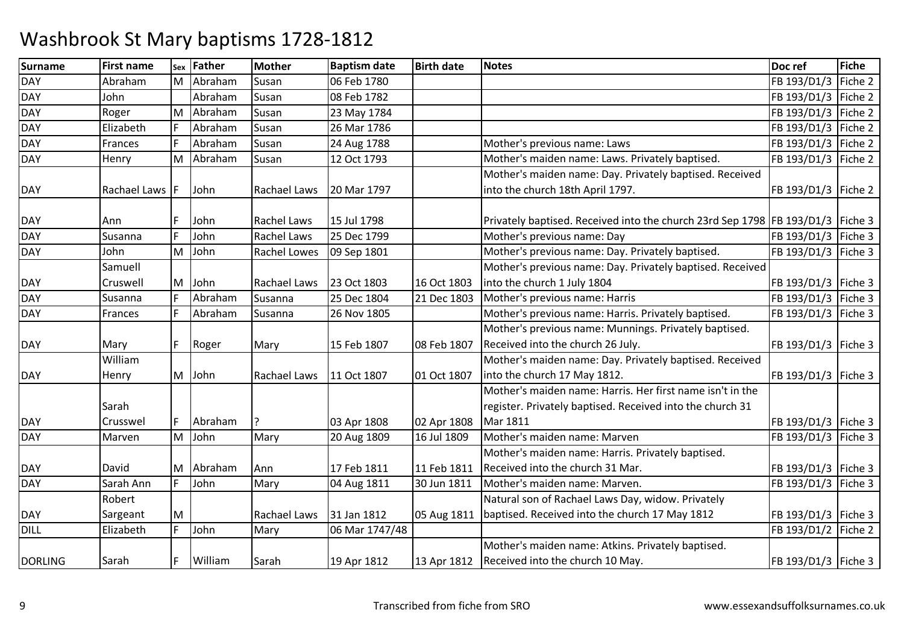| <b>Surname</b> | <b>First name</b> | Sex | Father    | <b>Mother</b> | <b>Baptism date</b> | <b>Birth date</b> | <b>Notes</b>                                                                   | Doc ref               | <b>Fiche</b> |
|----------------|-------------------|-----|-----------|---------------|---------------------|-------------------|--------------------------------------------------------------------------------|-----------------------|--------------|
| <b>DAY</b>     | Abraham           |     | M Abraham | Susan         | 06 Feb 1780         |                   |                                                                                | FB 193/D1/3           | Fiche 2      |
| <b>DAY</b>     | John              |     | Abraham   | Susan         | 08 Feb 1782         |                   |                                                                                | FB 193/D1/3 Fiche 2   |              |
| <b>DAY</b>     | Roger             | M   | Abraham   | Susan         | 23 May 1784         |                   |                                                                                | FB 193/D1/3           | Fiche 2      |
| <b>DAY</b>     | Elizabeth         |     | Abraham   | Susan         | 26 Mar 1786         |                   |                                                                                | FB 193/D1/3           | Fiche 2      |
| <b>DAY</b>     | Frances           |     | Abraham   | Susan         | 24 Aug 1788         |                   | Mother's previous name: Laws                                                   | FB 193/D1/3 Fiche 2   |              |
| <b>DAY</b>     | Henry             | M   | Abraham   | Susan         | 12 Oct 1793         |                   | Mother's maiden name: Laws. Privately baptised.                                | FB 193/D1/3           | Fiche 2      |
|                |                   |     |           |               |                     |                   | Mother's maiden name: Day. Privately baptised. Received                        |                       |              |
| <b>DAY</b>     | Rachael Laws F    |     | John      | Rachael Laws  | 20 Mar 1797         |                   | into the church 18th April 1797.                                               | FB 193/D1/3   Fiche 2 |              |
|                |                   |     |           |               |                     |                   |                                                                                |                       |              |
| <b>DAY</b>     | Ann               |     | John      | Rachel Laws   | 15 Jul 1798         |                   | Privately baptised. Received into the church 23rd Sep 1798 FB 193/D1/3 Fiche 3 |                       |              |
| <b>DAY</b>     | Susanna           |     | John      | Rachel Laws   | 25 Dec 1799         |                   | Mother's previous name: Day                                                    | FB 193/D1/3   Fiche 3 |              |
| <b>DAY</b>     | John              | M   | John      | Rachel Lowes  | 09 Sep 1801         |                   | Mother's previous name: Day. Privately baptised.                               | FB 193/D1/3   Fiche 3 |              |
|                | Samuell           |     |           |               |                     |                   | Mother's previous name: Day. Privately baptised. Received                      |                       |              |
| <b>DAY</b>     | Cruswell          | M   | John      | Rachael Laws  | 23 Oct 1803         | 16 Oct 1803       | into the church 1 July 1804                                                    | FB 193/D1/3   Fiche 3 |              |
| <b>DAY</b>     | Susanna           |     | Abraham   | Susanna       | 25 Dec 1804         | 21 Dec 1803       | Mother's previous name: Harris                                                 | FB 193/D1/3   Fiche 3 |              |
| <b>DAY</b>     | Frances           |     | Abraham   | Susanna       | 26 Nov 1805         |                   | Mother's previous name: Harris. Privately baptised.                            | FB 193/D1/3 Fiche 3   |              |
|                |                   |     |           |               |                     |                   | Mother's previous name: Munnings. Privately baptised.                          |                       |              |
| <b>DAY</b>     | Mary              | F   | Roger     | Mary          | 15 Feb 1807         | 08 Feb 1807       | Received into the church 26 July.                                              | FB 193/D1/3   Fiche 3 |              |
|                | William           |     |           |               |                     |                   | Mother's maiden name: Day. Privately baptised. Received                        |                       |              |
| <b>DAY</b>     | Henry             | M   | John      | Rachael Laws  | 11 Oct 1807         | 01 Oct 1807       | into the church 17 May 1812.                                                   | FB 193/D1/3   Fiche 3 |              |
|                |                   |     |           |               |                     |                   | Mother's maiden name: Harris, Her first name isn't in the                      |                       |              |
|                | Sarah             |     |           |               |                     |                   | register. Privately baptised. Received into the church 31                      |                       |              |
| <b>DAY</b>     | Crusswel          | F   | Abraham   |               | 03 Apr 1808         | 02 Apr 1808       | <b>Mar 1811</b>                                                                | FB 193/D1/3   Fiche 3 |              |
| <b>DAY</b>     | Marven            | M   | John      | Mary          | 20 Aug 1809         | 16 Jul 1809       | Mother's maiden name: Marven                                                   | FB 193/D1/3           | Fiche 3      |
|                |                   |     |           |               |                     |                   | Mother's maiden name: Harris. Privately baptised.                              |                       |              |
| <b>DAY</b>     | David             |     | M Abraham | Ann           | 17 Feb 1811         | 11 Feb 1811       | Received into the church 31 Mar.                                               | FB 193/D1/3   Fiche 3 |              |
| <b>DAY</b>     | Sarah Ann         | E   | John      | Mary          | 04 Aug 1811         | 30 Jun 1811       | Mother's maiden name: Marven.                                                  | FB 193/D1/3   Fiche 3 |              |
|                | Robert            |     |           |               |                     |                   | Natural son of Rachael Laws Day, widow. Privately                              |                       |              |
| <b>DAY</b>     | Sargeant          | M   |           | Rachael Laws  | 31 Jan 1812         | 05 Aug 1811       | baptised. Received into the church 17 May 1812                                 | FB 193/D1/3   Fiche 3 |              |
| <b>DILL</b>    | Elizabeth         | F   | John      | Mary          | 06 Mar 1747/48      |                   |                                                                                | FB 193/D1/2 Fiche 2   |              |
|                |                   |     |           |               |                     |                   | Mother's maiden name: Atkins. Privately baptised.                              |                       |              |
| <b>DORLING</b> | Sarah             |     | William   | Sarah         | 19 Apr 1812         | 13 Apr 1812       | Received into the church 10 May.                                               | FB 193/D1/3   Fiche 3 |              |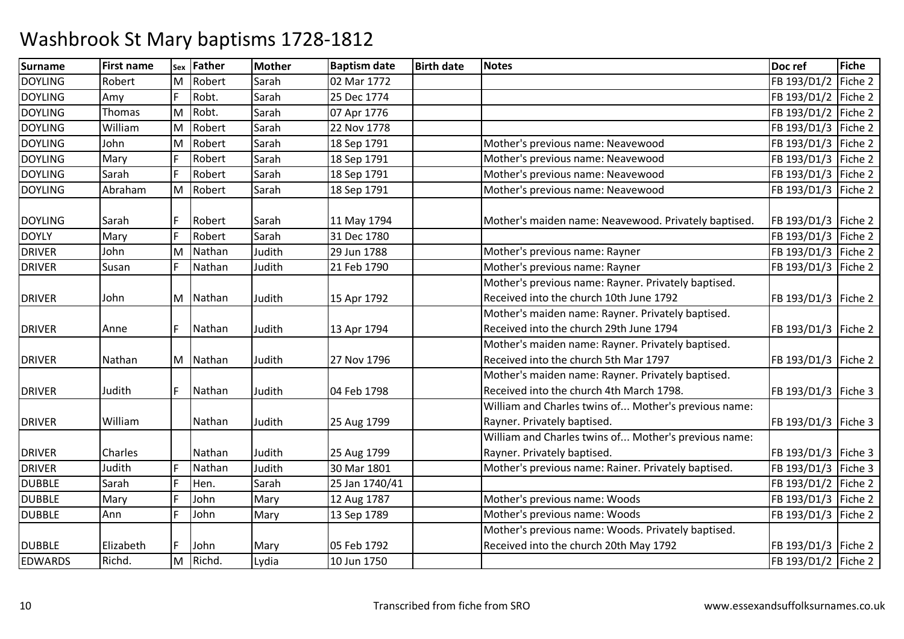| Surname        | First name | Sex | Father   | <b>Mother</b> | <b>Baptism date</b> | <b>Birth date</b> | <b>Notes</b>                                         | Doc ref               | <b>Fiche</b> |
|----------------|------------|-----|----------|---------------|---------------------|-------------------|------------------------------------------------------|-----------------------|--------------|
| <b>DOYLING</b> | Robert     | M   | Robert   | Sarah         | 02 Mar 1772         |                   |                                                      | FB 193/D1/2           | Fiche 2      |
| <b>DOYLING</b> | Amy        |     | Robt.    | Sarah         | 25 Dec 1774         |                   |                                                      | FB 193/D1/2 Fiche 2   |              |
| <b>DOYLING</b> | Thomas     | M   | Robt.    | Sarah         | 07 Apr 1776         |                   |                                                      | FB 193/D1/2   Fiche 2 |              |
| <b>DOYLING</b> | William    | M   | Robert   | Sarah         | 22 Nov 1778         |                   |                                                      | FB 193/D1/3           | Fiche 2      |
| <b>DOYLING</b> | John       | M   | Robert   | Sarah         | 18 Sep 1791         |                   | Mother's previous name: Neavewood                    | FB 193/D1/3 Fiche 2   |              |
| <b>DOYLING</b> | Mary       | E   | Robert   | Sarah         | 18 Sep 1791         |                   | Mother's previous name: Neavewood                    | FB 193/D1/3 Fiche 2   |              |
| <b>DOYLING</b> | Sarah      | E   | Robert   | Sarah         | 18 Sep 1791         |                   | Mother's previous name: Neavewood                    | FB 193/D1/3 Fiche 2   |              |
| <b>DOYLING</b> | Abraham    | M   | Robert   | Sarah         | 18 Sep 1791         |                   | Mother's previous name: Neavewood                    | FB 193/D1/3 Fiche 2   |              |
|                |            |     |          |               |                     |                   |                                                      |                       |              |
| <b>DOYLING</b> | Sarah      |     | Robert   | Sarah         | 11 May 1794         |                   | Mother's maiden name: Neavewood. Privately baptised. | FB 193/D1/3   Fiche 2 |              |
| <b>DOYLY</b>   | Mary       |     | Robert   | Sarah         | 31 Dec 1780         |                   |                                                      | FB 193/D1/3 Fiche 2   |              |
| <b>DRIVER</b>  | John       | M   | Nathan   | Judith        | 29 Jun 1788         |                   | Mother's previous name: Rayner                       | FB 193/D1/3           | Fiche 2      |
| <b>DRIVER</b>  | Susan      |     | Nathan   | Judith        | 21 Feb 1790         |                   | Mother's previous name: Rayner                       | FB 193/D1/3   Fiche 2 |              |
|                |            |     |          |               |                     |                   | Mother's previous name: Rayner. Privately baptised.  |                       |              |
| <b>DRIVER</b>  | John       |     | M Nathan | Judith        | 15 Apr 1792         |                   | Received into the church 10th June 1792              | FB 193/D1/3           | Fiche 2      |
|                |            |     |          |               |                     |                   | Mother's maiden name: Rayner. Privately baptised.    |                       |              |
| <b>DRIVER</b>  | Anne       |     | Nathan   | Judith        | 13 Apr 1794         |                   | Received into the church 29th June 1794              | FB 193/D1/3   Fiche 2 |              |
|                |            |     |          |               |                     |                   | Mother's maiden name: Rayner. Privately baptised.    |                       |              |
| <b>DRIVER</b>  | Nathan     |     | M Nathan | Judith        | 27 Nov 1796         |                   | Received into the church 5th Mar 1797                | FB 193/D1/3 Fiche 2   |              |
|                |            |     |          |               |                     |                   | Mother's maiden name: Rayner. Privately baptised.    |                       |              |
| <b>DRIVER</b>  | Judith     |     | Nathan   | Judith        | 04 Feb 1798         |                   | Received into the church 4th March 1798.             | FB 193/D1/3   Fiche 3 |              |
|                |            |     |          |               |                     |                   | William and Charles twins of Mother's previous name: |                       |              |
| <b>DRIVER</b>  | William    |     | Nathan   | Judith        | 25 Aug 1799         |                   | Rayner. Privately baptised.                          | FB 193/D1/3   Fiche 3 |              |
|                |            |     |          |               |                     |                   | William and Charles twins of Mother's previous name: |                       |              |
| <b>DRIVER</b>  | Charles    |     | Nathan   | Judith        | 25 Aug 1799         |                   | Rayner. Privately baptised.                          | FB 193/D1/3   Fiche 3 |              |
| <b>DRIVER</b>  | Judith     |     | Nathan   | Judith        | 30 Mar 1801         |                   | Mother's previous name: Rainer. Privately baptised.  | FB 193/D1/3 Fiche 3   |              |
| <b>DUBBLE</b>  | Sarah      |     | Hen.     | Sarah         | 25 Jan 1740/41      |                   |                                                      | FB 193/D1/2   Fiche 2 |              |
| <b>DUBBLE</b>  | Mary       |     | John     | Mary          | 12 Aug 1787         |                   | Mother's previous name: Woods                        | FB 193/D1/3 Fiche 2   |              |
| <b>DUBBLE</b>  | Ann        |     | John     | Mary          | 13 Sep 1789         |                   | Mother's previous name: Woods                        | FB 193/D1/3           | Fiche 2      |
|                |            |     |          |               |                     |                   | Mother's previous name: Woods. Privately baptised.   |                       |              |
| <b>DUBBLE</b>  | Elizabeth  |     | John     | Mary          | 05 Feb 1792         |                   | Received into the church 20th May 1792               | FB 193/D1/3   Fiche 2 |              |
| <b>EDWARDS</b> | Richd.     | M   | Richd.   | Lydia         | 10 Jun 1750         |                   |                                                      | FB 193/D1/2 Fiche 2   |              |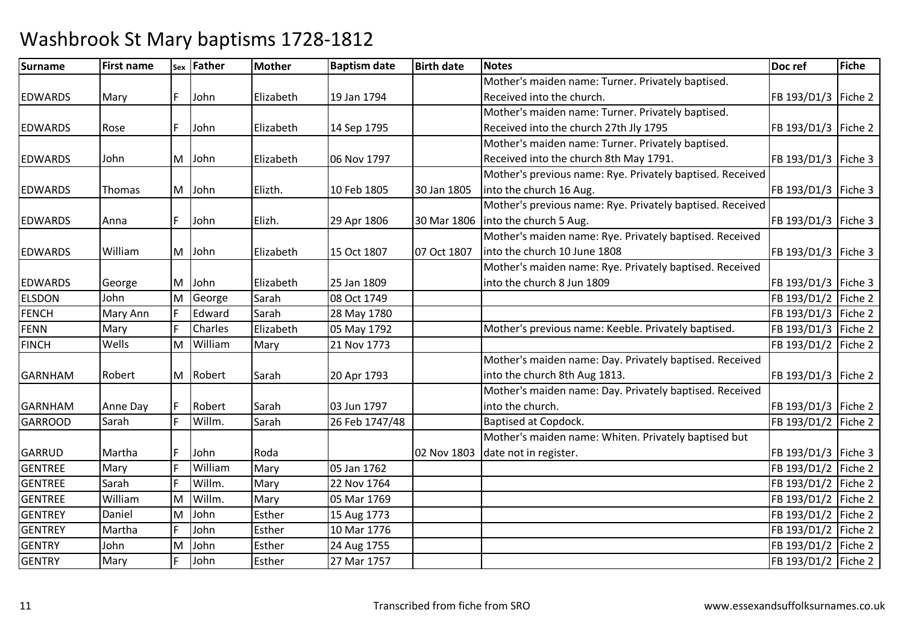| <b>Surname</b> | <b>First name</b> |    | sex Father     | <b>Mother</b> | <b>Baptism date</b> | <b>Birth date</b> | <b>Notes</b>                                              | Doc ref               | <b>Fiche</b> |
|----------------|-------------------|----|----------------|---------------|---------------------|-------------------|-----------------------------------------------------------|-----------------------|--------------|
|                |                   |    |                |               |                     |                   | Mother's maiden name: Turner. Privately baptised.         |                       |              |
| <b>EDWARDS</b> | Mary              |    | John           | Elizabeth     | 19 Jan 1794         |                   | Received into the church.                                 | FB 193/D1/3   Fiche 2 |              |
|                |                   |    |                |               |                     |                   | Mother's maiden name: Turner. Privately baptised.         |                       |              |
| <b>EDWARDS</b> | Rose              |    | John           | Elizabeth     | 14 Sep 1795         |                   | Received into the church 27th Jly 1795                    | FB 193/D1/3   Fiche 2 |              |
|                |                   |    |                |               |                     |                   | Mother's maiden name: Turner. Privately baptised.         |                       |              |
| <b>EDWARDS</b> | John              |    | M John         | Elizabeth     | 06 Nov 1797         |                   | Received into the church 8th May 1791.                    | FB 193/D1/3   Fiche 3 |              |
|                |                   |    |                |               |                     |                   | Mother's previous name: Rye. Privately baptised. Received |                       |              |
| <b>EDWARDS</b> | Thomas            |    | M John         | Elizth.       | 10 Feb 1805         | 30 Jan 1805       | into the church 16 Aug.                                   | FB 193/D1/3   Fiche 3 |              |
|                |                   |    |                |               |                     |                   | Mother's previous name: Rye. Privately baptised. Received |                       |              |
| <b>EDWARDS</b> | Anna              |    | John           | Elizh.        | 29 Apr 1806         | 30 Mar 1806       | into the church 5 Aug.                                    | FB 193/D1/3   Fiche 3 |              |
|                |                   |    |                |               |                     |                   | Mother's maiden name: Rye. Privately baptised. Received   |                       |              |
| <b>EDWARDS</b> | William           |    | M John         | Elizabeth     | 15 Oct 1807         | 07 Oct 1807       | into the church 10 June 1808                              | FB 193/D1/3   Fiche 3 |              |
|                |                   |    |                |               |                     |                   | Mother's maiden name: Rye. Privately baptised. Received   |                       |              |
| <b>EDWARDS</b> | George            | M  | John           | Elizabeth     | 25 Jan 1809         |                   | into the church 8 Jun 1809                                | FB 193/D1/3   Fiche 3 |              |
| <b>ELSDON</b>  | John              | M  | George         | Sarah         | 08 Oct 1749         |                   |                                                           | FB 193/D1/2 Fiche 2   |              |
| <b>FENCH</b>   | Mary Ann          |    | Edward         | Sarah         | 28 May 1780         |                   |                                                           | FB 193/D1/3   Fiche 2 |              |
| <b>FENN</b>    | Mary              |    | <b>Charles</b> | Elizabeth     | 05 May 1792         |                   | Mother's previous name: Keeble. Privately baptised.       | FB 193/D1/3 Fiche 2   |              |
| <b>FINCH</b>   | Wells             | M  | William        | Mary          | 21 Nov 1773         |                   |                                                           | FB 193/D1/2           | Fiche 2      |
|                |                   |    |                |               |                     |                   | Mother's maiden name: Day. Privately baptised. Received   |                       |              |
| <b>GARNHAM</b> | Robert            |    | M Robert       | Sarah         | 20 Apr 1793         |                   | into the church 8th Aug 1813.                             | FB 193/D1/3   Fiche 2 |              |
|                |                   |    |                |               |                     |                   | Mother's maiden name: Day. Privately baptised. Received   |                       |              |
| <b>GARNHAM</b> | Anne Day          |    | Robert         | Sarah         | 03 Jun 1797         |                   | into the church.                                          | FB 193/D1/3   Fiche 2 |              |
| <b>GARROOD</b> | Sarah             |    | Willm.         | Sarah         | 26 Feb 1747/48      |                   | Baptised at Copdock.                                      | FB 193/D1/2   Fiche 2 |              |
|                |                   |    |                |               |                     |                   | Mother's maiden name: Whiten. Privately baptised but      |                       |              |
| <b>GARRUD</b>  | Martha            |    | John           | Roda          |                     | 02 Nov 1803       | date not in register.                                     | FB 193/D1/3   Fiche 3 |              |
| <b>GENTREE</b> | Mary              |    | William        | Mary          | 05 Jan 1762         |                   |                                                           | FB 193/D1/2           | Fiche 2      |
| <b>GENTREE</b> | Sarah             |    | Willm.         | Mary          | 22 Nov 1764         |                   |                                                           | FB 193/D1/2 Fiche 2   |              |
| <b>GENTREE</b> | William           | lΜ | Willm.         | Mary          | 05 Mar 1769         |                   |                                                           | FB 193/D1/2           | Fiche 2      |
| <b>GENTREY</b> | Daniel            | M  | John           | Esther        | 15 Aug 1773         |                   |                                                           | FB 193/D1/2   Fiche 2 |              |
| <b>GENTREY</b> | Martha            |    | John           | Esther        | 10 Mar 1776         |                   |                                                           | FB 193/D1/2 Fiche 2   |              |
| <b>GENTRY</b>  | John              | M  | John           | Esther        | 24 Aug 1755         |                   |                                                           | FB 193/D1/2   Fiche 2 |              |
| <b>GENTRY</b>  | Mary              |    | John           | Esther        | 27 Mar 1757         |                   |                                                           | FB 193/D1/2   Fiche 2 |              |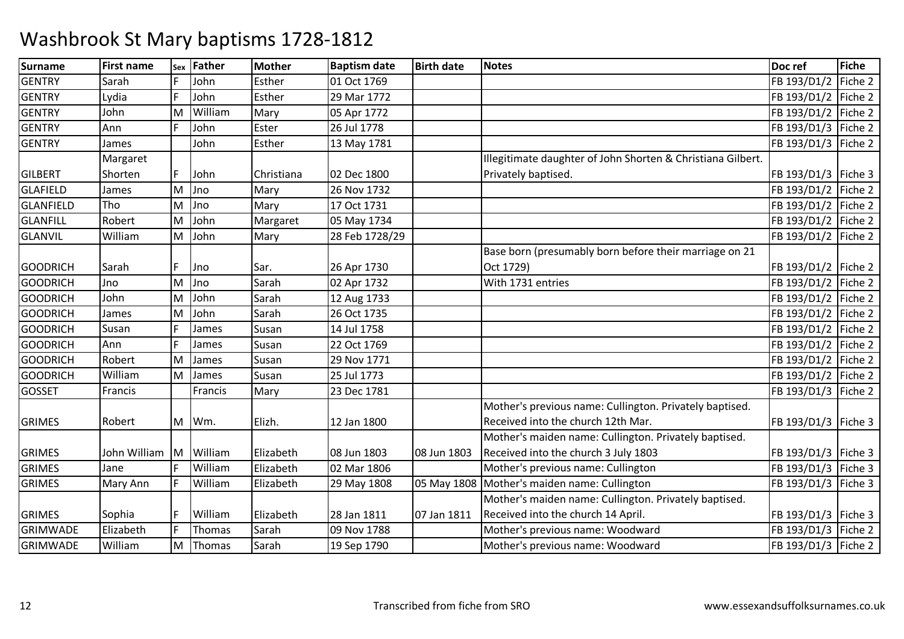| Surname         | <b>First name</b> | Sex | <b>Father</b> | <b>Mother</b> | <b>Baptism date</b> | <b>Birth date</b> | <b>Notes</b>                                                | Doc ref               | <b>Fiche</b> |
|-----------------|-------------------|-----|---------------|---------------|---------------------|-------------------|-------------------------------------------------------------|-----------------------|--------------|
| <b>GENTRY</b>   | Sarah             |     | John          | Esther        | 01 Oct 1769         |                   |                                                             | FB 193/D1/2           | Fiche 2      |
| <b>GENTRY</b>   | Lydia             | F   | John          | Esther        | 29 Mar 1772         |                   |                                                             | FB 193/D1/2           | Fiche 2      |
| <b>GENTRY</b>   | John              | M   | William       | Mary          | 05 Apr 1772         |                   |                                                             | FB 193/D1/2           | Fiche 2      |
| <b>GENTRY</b>   | Ann               |     | John          | Ester         | 26 Jul 1778         |                   |                                                             | FB 193/D1/3           | Fiche 2      |
| <b>GENTRY</b>   | James             |     | John          | Esther        | 13 May 1781         |                   |                                                             | FB 193/D1/3 Fiche 2   |              |
|                 | Margaret          |     |               |               |                     |                   | Illegitimate daughter of John Shorten & Christiana Gilbert. |                       |              |
| <b>GILBERT</b>  | Shorten           | F   | John          | Christiana    | 02 Dec 1800         |                   | Privately baptised.                                         | FB 193/D1/3 Fiche 3   |              |
| <b>GLAFIELD</b> | James             | M   | Jno           | Mary          | 26 Nov 1732         |                   |                                                             | FB 193/D1/2           | Fiche 2      |
| GLANFIELD       | Tho               | M   | Jno           | Mary          | 17 Oct 1731         |                   |                                                             | FB 193/D1/2           | Fiche 2      |
| <b>GLANFILL</b> | Robert            | M   | John          | Margaret      | 05 May 1734         |                   |                                                             | FB 193/D1/2           | Fiche 2      |
| <b>GLANVIL</b>  | William           | M   | John          | Mary          | 28 Feb 1728/29      |                   |                                                             | FB 193/D1/2           | Fiche 2      |
|                 |                   |     |               |               |                     |                   | Base born (presumably born before their marriage on 21      |                       |              |
| <b>GOODRICH</b> | Sarah             |     | Jno           | Sar.          | 26 Apr 1730         |                   | Oct 1729)                                                   | FB 193/D1/2   Fiche 2 |              |
| <b>GOODRICH</b> | Jno               | M   | Jno           | Sarah         | 02 Apr 1732         |                   | With 1731 entries                                           | FB 193/D1/2 Fiche 2   |              |
| <b>GOODRICH</b> | John              | M   | John          | Sarah         | 12 Aug 1733         |                   |                                                             | FB 193/D1/2   Fiche 2 |              |
| <b>GOODRICH</b> | James             | M   | John          | Sarah         | 26 Oct 1735         |                   |                                                             | FB 193/D1/2           | Fiche 2      |
| <b>GOODRICH</b> | Susan             |     | James         | Susan         | 14 Jul 1758         |                   |                                                             | FB 193/D1/2   Fiche 2 |              |
| <b>GOODRICH</b> | Ann               | E   | James         | Susan         | 22 Oct 1769         |                   |                                                             | FB 193/D1/2   Fiche 2 |              |
| <b>GOODRICH</b> | Robert            | lΜ  | James         | Susan         | 29 Nov 1771         |                   |                                                             | FB 193/D1/2           | Fiche 2      |
| <b>GOODRICH</b> | William           | M   | James         | Susan         | 25 Jul 1773         |                   |                                                             | FB 193/D1/2           | Fiche 2      |
| <b>GOSSET</b>   | Francis           |     | Francis       | Mary          | 23 Dec 1781         |                   |                                                             | FB 193/D1/3           | Fiche 2      |
|                 |                   |     |               |               |                     |                   | Mother's previous name: Cullington. Privately baptised.     |                       |              |
| <b>GRIMES</b>   | Robert            |     | M Wm.         | Elizh.        | 12 Jan 1800         |                   | Received into the church 12th Mar.                          | FB 193/D1/3   Fiche 3 |              |
|                 |                   |     |               |               |                     |                   | Mother's maiden name: Cullington. Privately baptised.       |                       |              |
| <b>GRIMES</b>   | John William      | ΙM  | William       | Elizabeth     | 08 Jun 1803         | 08 Jun 1803       | Received into the church 3 July 1803                        | FB 193/D1/3   Fiche 3 |              |
| <b>GRIMES</b>   | Jane              |     | William       | Elizabeth     | 02 Mar 1806         |                   | Mother's previous name: Cullington                          | FB 193/D1/3   Fiche 3 |              |
| <b>GRIMES</b>   | Mary Ann          | IF  | William       | Elizabeth     | 29 May 1808         |                   | 05 May 1808 Mother's maiden name: Cullington                | FB 193/D1/3   Fiche 3 |              |
|                 |                   |     |               |               |                     |                   | Mother's maiden name: Cullington. Privately baptised.       |                       |              |
| <b>GRIMES</b>   | Sophia            |     | William       | Elizabeth     | 28 Jan 1811         | 07 Jan 1811       | Received into the church 14 April.                          | FB 193/D1/3   Fiche 3 |              |
| <b>GRIMWADE</b> | Elizabeth         | E   | Thomas        | Sarah         | 09 Nov 1788         |                   | Mother's previous name: Woodward                            | FB 193/D1/3 Fiche 2   |              |
| <b>GRIMWADE</b> | William           |     | M Thomas      | Sarah         | 19 Sep 1790         |                   | Mother's previous name: Woodward                            | FB 193/D1/3 Fiche 2   |              |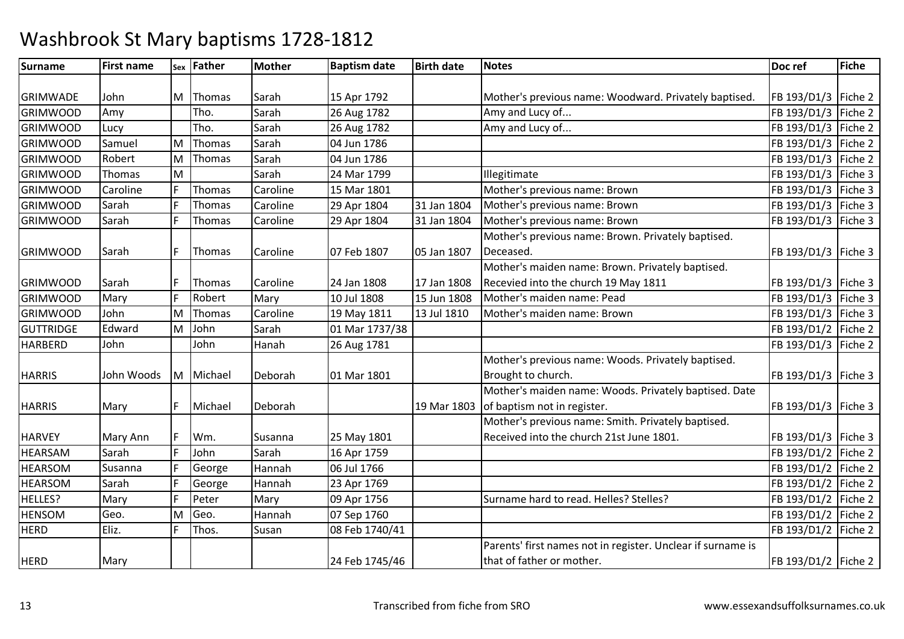| Surname          | <b>First name</b> | Sex | <b>Father</b> | <b>Mother</b> | <b>Baptism date</b> | <b>Birth date</b> | <b>Notes</b>                                                | Doc ref               | <b>Fiche</b> |
|------------------|-------------------|-----|---------------|---------------|---------------------|-------------------|-------------------------------------------------------------|-----------------------|--------------|
|                  |                   |     |               |               |                     |                   |                                                             |                       |              |
| <b>GRIMWADE</b>  | John              | ΙM  | Thomas        | Sarah         | 15 Apr 1792         |                   | Mother's previous name: Woodward. Privately baptised.       | FB 193/D1/3 Fiche 2   |              |
| <b>GRIMWOOD</b>  | Amy               |     | Tho.          | Sarah         | 26 Aug 1782         |                   | Amy and Lucy of                                             | FB 193/D1/3           | Fiche 2      |
| <b>GRIMWOOD</b>  | Lucy              |     | Tho.          | Sarah         | 26 Aug 1782         |                   | Amy and Lucy of                                             | FB 193/D1/3 Fiche 2   |              |
| <b>GRIMWOOD</b>  | Samuel            | M   | Thomas        | Sarah         | 04 Jun 1786         |                   |                                                             | FB 193/D1/3   Fiche 2 |              |
| <b>GRIMWOOD</b>  | Robert            | M   | Thomas        | Sarah         | 04 Jun 1786         |                   |                                                             | FB 193/D1/3 Fiche 2   |              |
| <b>GRIMWOOD</b>  | Thomas            | M   |               | Sarah         | 24 Mar 1799         |                   | Illegitimate                                                | FB 193/D1/3 Fiche 3   |              |
| <b>GRIMWOOD</b>  | Caroline          |     | Thomas        | Caroline      | 15 Mar 1801         |                   | Mother's previous name: Brown                               | FB 193/D1/3   Fiche 3 |              |
| <b>GRIMWOOD</b>  | Sarah             |     | Thomas        | Caroline      | 29 Apr 1804         | 31 Jan 1804       | Mother's previous name: Brown                               | FB 193/D1/3 Fiche 3   |              |
| <b>GRIMWOOD</b>  | Sarah             |     | Thomas        | Caroline      | 29 Apr 1804         | 31 Jan 1804       | Mother's previous name: Brown                               | FB 193/D1/3 Fiche 3   |              |
|                  |                   |     |               |               |                     |                   | Mother's previous name: Brown. Privately baptised.          |                       |              |
| <b>GRIMWOOD</b>  | Sarah             |     | Thomas        | Caroline      | 07 Feb 1807         | 05 Jan 1807       | Deceased.                                                   | FB 193/D1/3   Fiche 3 |              |
|                  |                   |     |               |               |                     |                   | Mother's maiden name: Brown. Privately baptised.            |                       |              |
| <b>GRIMWOOD</b>  | Sarah             |     | Thomas        | Caroline      | 24 Jan 1808         | 17 Jan 1808       | Recevied into the church 19 May 1811                        | FB 193/D1/3   Fiche 3 |              |
| <b>GRIMWOOD</b>  | Mary              |     | Robert        | Mary          | 10 Jul 1808         | 15 Jun 1808       | Mother's maiden name: Pead                                  | FB 193/D1/3 Fiche 3   |              |
| <b>GRIMWOOD</b>  | John              | M   | Thomas        | Caroline      | 19 May 1811         | 13 Jul 1810       | Mother's maiden name: Brown                                 | FB 193/D1/3 Fiche 3   |              |
| <b>GUTTRIDGE</b> | Edward            | M   | John          | Sarah         | 01 Mar 1737/38      |                   |                                                             | FB 193/D1/2 Fiche 2   |              |
| <b>HARBERD</b>   | John              |     | John          | Hanah         | 26 Aug 1781         |                   |                                                             | FB 193/D1/3           | Fiche 2      |
|                  |                   |     |               |               |                     |                   | Mother's previous name: Woods. Privately baptised.          |                       |              |
| <b>HARRIS</b>    | John Woods        | M   | Michael       | Deborah       | 01 Mar 1801         |                   | Brought to church.                                          | FB 193/D1/3   Fiche 3 |              |
|                  |                   |     |               |               |                     |                   | Mother's maiden name: Woods. Privately baptised. Date       |                       |              |
| <b>HARRIS</b>    | Mary              |     | Michael       | Deborah       |                     | 19 Mar 1803       | of baptism not in register.                                 | FB 193/D1/3   Fiche 3 |              |
|                  |                   |     |               |               |                     |                   | Mother's previous name: Smith. Privately baptised.          |                       |              |
| <b>HARVEY</b>    | Mary Ann          |     | Wm.           | Susanna       | 25 May 1801         |                   | Received into the church 21st June 1801.                    | FB 193/D1/3   Fiche 3 |              |
| <b>HEARSAM</b>   | Sarah             |     | John          | Sarah         | 16 Apr 1759         |                   |                                                             | FB 193/D1/2   Fiche 2 |              |
| <b>HEARSOM</b>   | Susanna           |     | George        | Hannah        | 06 Jul 1766         |                   |                                                             | FB 193/D1/2 Fiche 2   |              |
| <b>HEARSOM</b>   | Sarah             |     | George        | Hannah        | 23 Apr 1769         |                   |                                                             | FB 193/D1/2   Fiche 2 |              |
| HELLES?          | Mary              |     | Peter         | Mary          | 09 Apr 1756         |                   | Surname hard to read. Helles? Stelles?                      | FB 193/D1/2   Fiche 2 |              |
| <b>HENSOM</b>    | Geo.              | M   | Geo.          | Hannah        | 07 Sep 1760         |                   |                                                             | FB 193/D1/2   Fiche 2 |              |
| <b>HERD</b>      | Eliz.             |     | Thos.         | Susan         | 08 Feb 1740/41      |                   |                                                             | FB 193/D1/2   Fiche 2 |              |
|                  |                   |     |               |               |                     |                   | Parents' first names not in register. Unclear if surname is |                       |              |
| <b>HERD</b>      | Mary              |     |               |               | 24 Feb 1745/46      |                   | that of father or mother.                                   | FB 193/D1/2   Fiche 2 |              |
|                  |                   |     |               |               |                     |                   |                                                             |                       |              |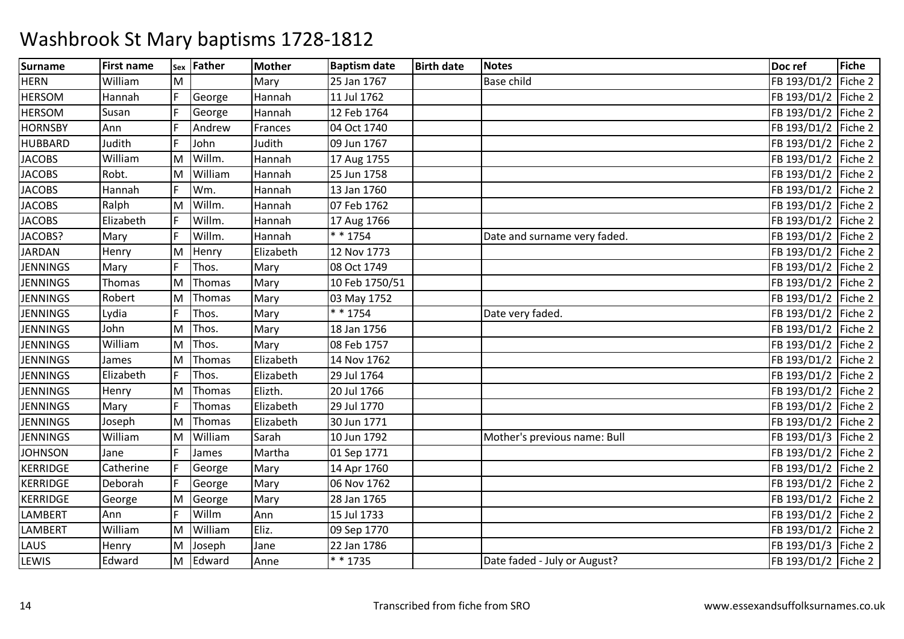| Surname         | <b>First name</b> |   | sex Father | <b>Mother</b> | <b>Baptism date</b> | <b>Birth date</b> | <b>Notes</b>                 | Doc ref               | <b>Fiche</b> |
|-----------------|-------------------|---|------------|---------------|---------------------|-------------------|------------------------------|-----------------------|--------------|
| <b>HERN</b>     | William           | M |            | Mary          | 25 Jan 1767         |                   | <b>Base child</b>            | FB 193/D1/2 Fiche 2   |              |
| <b>HERSOM</b>   | Hannah            |   | George     | Hannah        | 11 Jul 1762         |                   |                              | FB 193/D1/2 Fiche 2   |              |
| <b>HERSOM</b>   | Susan             |   | George     | Hannah        | 12 Feb 1764         |                   |                              | FB 193/D1/2 Fiche 2   |              |
| <b>HORNSBY</b>  | Ann               |   | Andrew     | Frances       | 04 Oct 1740         |                   |                              | FB 193/D1/2 Fiche 2   |              |
| <b>HUBBARD</b>  | Judith            |   | John       | Judith        | 09 Jun 1767         |                   |                              | FB 193/D1/2 Fiche 2   |              |
| <b>JACOBS</b>   | William           | M | Willm.     | Hannah        | 17 Aug 1755         |                   |                              | FB 193/D1/2 Fiche 2   |              |
| <b>JACOBS</b>   | Robt.             | M | William    | Hannah        | 25 Jun 1758         |                   |                              | FB 193/D1/2 Fiche 2   |              |
| <b>JACOBS</b>   | Hannah            |   | Wm.        | Hannah        | 13 Jan 1760         |                   |                              | FB 193/D1/2 Fiche 2   |              |
| <b>JACOBS</b>   | Ralph             | M | Willm.     | Hannah        | 07 Feb 1762         |                   |                              | FB 193/D1/2 Fiche 2   |              |
| <b>JACOBS</b>   | Elizabeth         |   | Willm.     | Hannah        | 17 Aug 1766         |                   |                              | FB 193/D1/2 Fiche 2   |              |
| JACOBS?         | Mary              |   | Willm.     | Hannah        | * * 1754            |                   | Date and surname very faded. | FB 193/D1/2 Fiche 2   |              |
| <b>JARDAN</b>   | Henry             | M | Henry      | Elizabeth     | 12 Nov 1773         |                   |                              | FB 193/D1/2 Fiche 2   |              |
| <b>JENNINGS</b> | Mary              |   | Thos.      | Mary          | 08 Oct 1749         |                   |                              | FB 193/D1/2   Fiche 2 |              |
| <b>JENNINGS</b> | Thomas            | M | Thomas     | Mary          | 10 Feb 1750/51      |                   |                              | FB 193/D1/2 Fiche 2   |              |
| <b>JENNINGS</b> | Robert            | M | Thomas     | Mary          | 03 May 1752         |                   |                              | FB 193/D1/2 Fiche 2   |              |
| <b>JENNINGS</b> | Lydia             |   | Thos.      | Mary          | $* * 1754$          |                   | Date very faded.             | FB 193/D1/2 Fiche 2   |              |
| <b>JENNINGS</b> | John              | м | Thos.      | Mary          | 18 Jan 1756         |                   |                              | FB 193/D1/2 Fiche 2   |              |
| <b>JENNINGS</b> | William           | M | Thos.      | Mary          | 08 Feb 1757         |                   |                              | FB 193/D1/2 Fiche 2   |              |
| <b>JENNINGS</b> | James             | M | Thomas     | Elizabeth     | 14 Nov 1762         |                   |                              | FB 193/D1/2 Fiche 2   |              |
| <b>JENNINGS</b> | Elizabeth         |   | Thos.      | Elizabeth     | 29 Jul 1764         |                   |                              | FB 193/D1/2 Fiche 2   |              |
| <b>JENNINGS</b> | Henry             | M | Thomas     | Elizth.       | 20 Jul 1766         |                   |                              | FB 193/D1/2 Fiche 2   |              |
| <b>JENNINGS</b> | Mary              |   | Thomas     | Elizabeth     | 29 Jul 1770         |                   |                              | FB 193/D1/2 Fiche 2   |              |
| <b>JENNINGS</b> | Joseph            | M | Thomas     | Elizabeth     | 30 Jun 1771         |                   |                              | FB 193/D1/2 Fiche 2   |              |
| <b>JENNINGS</b> | William           | M | William    | Sarah         | 10 Jun 1792         |                   | Mother's previous name: Bull | FB 193/D1/3 Fiche 2   |              |
| <b>JOHNSON</b>  | Jane              |   | James      | Martha        | 01 Sep 1771         |                   |                              | FB 193/D1/2 Fiche 2   |              |
| <b>KERRIDGE</b> | Catherine         |   | George     | Mary          | 14 Apr 1760         |                   |                              | FB 193/D1/2 Fiche 2   |              |
| <b>KERRIDGE</b> | Deborah           |   | George     | Mary          | 06 Nov 1762         |                   |                              | FB 193/D1/2 Fiche 2   |              |
| <b>KERRIDGE</b> | George            | M | George     | Mary          | 28 Jan 1765         |                   |                              | FB 193/D1/2 Fiche 2   |              |
| <b>LAMBERT</b>  | Ann               |   | Willm      | Ann           | 15 Jul 1733         |                   |                              | FB 193/D1/2 Fiche 2   |              |
| <b>LAMBERT</b>  | William           | M | William    | Eliz.         | 09 Sep 1770         |                   |                              | FB 193/D1/2   Fiche 2 |              |
| LAUS            | Henry             | M | Joseph     | Jane          | 22 Jan 1786         |                   |                              | FB 193/D1/3 Fiche 2   |              |
| LEWIS           | Edward            | M | Edward     | Anne          | $* * 1735$          |                   | Date faded - July or August? | FB 193/D1/2 Fiche 2   |              |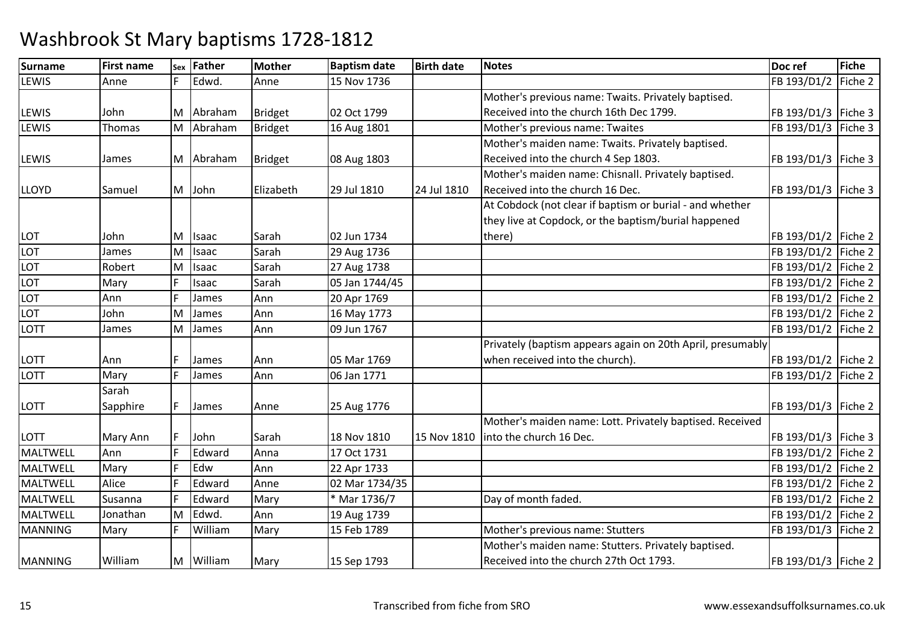| Surname         | <b>First name</b> | Sex | Father    | <b>Mother</b>  | <b>Baptism date</b> | <b>Birth date</b> | <b>Notes</b>                                               | Doc ref               | Fiche   |
|-----------------|-------------------|-----|-----------|----------------|---------------------|-------------------|------------------------------------------------------------|-----------------------|---------|
| <b>LEWIS</b>    | Anne              | E   | Edwd.     | Anne           | 15 Nov 1736         |                   |                                                            | FB 193/D1/2           | Fiche 2 |
|                 |                   |     |           |                |                     |                   | Mother's previous name: Twaits. Privately baptised.        |                       |         |
| <b>LEWIS</b>    | John              | M   | Abraham   | Bridget        | 02 Oct 1799         |                   | Received into the church 16th Dec 1799.                    | FB 193/D1/3   Fiche 3 |         |
| <b>LEWIS</b>    | Thomas            |     | M Abraham | Bridget        | 16 Aug 1801         |                   | Mother's previous name: Twaites                            | FB 193/D1/3           | Fiche 3 |
|                 |                   |     |           |                |                     |                   | Mother's maiden name: Twaits. Privately baptised.          |                       |         |
| <b>LEWIS</b>    | James             |     | M Abraham | <b>Bridget</b> | 08 Aug 1803         |                   | Received into the church 4 Sep 1803.                       | FB 193/D1/3   Fiche 3 |         |
|                 |                   |     |           |                |                     |                   | Mother's maiden name: Chisnall. Privately baptised.        |                       |         |
| <b>LLOYD</b>    | Samuel            | M   | John      | Elizabeth      | 29 Jul 1810         | 24 Jul 1810       | Received into the church 16 Dec.                           | FB 193/D1/3   Fiche 3 |         |
|                 |                   |     |           |                |                     |                   | At Cobdock (not clear if baptism or burial - and whether   |                       |         |
|                 |                   |     |           |                |                     |                   | they live at Copdock, or the baptism/burial happened       |                       |         |
| LOT             | John              | м   | Isaac     | Sarah          | 02 Jun 1734         |                   | there)                                                     | FB 193/D1/2   Fiche 2 |         |
| <b>LOT</b>      | James             | M   | Isaac     | Sarah          | 29 Aug 1736         |                   |                                                            | FB 193/D1/2           | Fiche 2 |
| LOT             | Robert            | M   | Isaac     | Sarah          | 27 Aug 1738         |                   |                                                            | FB 193/D1/2           | Fiche 2 |
| LOT             | Mary              | l ⊏ | Isaac     | Sarah          | 05 Jan 1744/45      |                   |                                                            | FB 193/D1/2           | Fiche 2 |
| LOT             | Ann               |     | James     | Ann            | 20 Apr 1769         |                   |                                                            | FB 193/D1/2 Fiche 2   |         |
| LOT             | John              | ΙM  | James     | Ann            | 16 May 1773         |                   |                                                            | FB 193/D1/2           | Fiche 2 |
| LOTT            | James             | M   | James     | Ann            | 09 Jun 1767         |                   |                                                            | FB 193/D1/2           | Fiche 2 |
|                 |                   |     |           |                |                     |                   | Privately (baptism appears again on 20th April, presumably |                       |         |
| LOTT            | Ann               |     | James     | Ann            | 05 Mar 1769         |                   | when received into the church).                            | FB 193/D1/2   Fiche 2 |         |
| <b>LOTT</b>     | Mary              | E   | James     | Ann            | 06 Jan 1771         |                   |                                                            | FB 193/D1/2           | Fiche 2 |
|                 | Sarah             |     |           |                |                     |                   |                                                            |                       |         |
| <b>LOTT</b>     | Sapphire          | F   | James     | Anne           | 25 Aug 1776         |                   |                                                            | FB 193/D1/3   Fiche 2 |         |
|                 |                   |     |           |                |                     |                   | Mother's maiden name: Lott. Privately baptised. Received   |                       |         |
| <b>LOTT</b>     | Mary Ann          |     | John      | Sarah          | 18 Nov 1810         | 15 Nov 1810       | into the church 16 Dec.                                    | FB 193/D1/3   Fiche 3 |         |
| MALTWELL        | Ann               |     | Edward    | Anna           | 17 Oct 1731         |                   |                                                            | FB 193/D1/2           | Fiche 2 |
| MALTWELL        | Mary              |     | Edw       | Ann            | 22 Apr 1733         |                   |                                                            | FB 193/D1/2   Fiche 2 |         |
| MALTWELL        | Alice             |     | Edward    | Anne           | 02 Mar 1734/35      |                   |                                                            | FB 193/D1/2 Fiche 2   |         |
| <b>MALTWELL</b> | Susanna           |     | Edward    | Mary           | * Mar 1736/7        |                   | Day of month faded.                                        | FB 193/D1/2           | Fiche 2 |
| MALTWELL        | Jonathan          | M   | Edwd.     | Ann            | 19 Aug 1739         |                   |                                                            | FB 193/D1/2           | Fiche 2 |
| <b>MANNING</b>  | Mary              |     | William   | Mary           | 15 Feb 1789         |                   | Mother's previous name: Stutters                           | FB 193/D1/3   Fiche 2 |         |
|                 |                   |     |           |                |                     |                   | Mother's maiden name: Stutters. Privately baptised.        |                       |         |
| <b>MANNING</b>  | William           |     | M William | Mary           | 15 Sep 1793         |                   | Received into the church 27th Oct 1793.                    | FB 193/D1/3   Fiche 2 |         |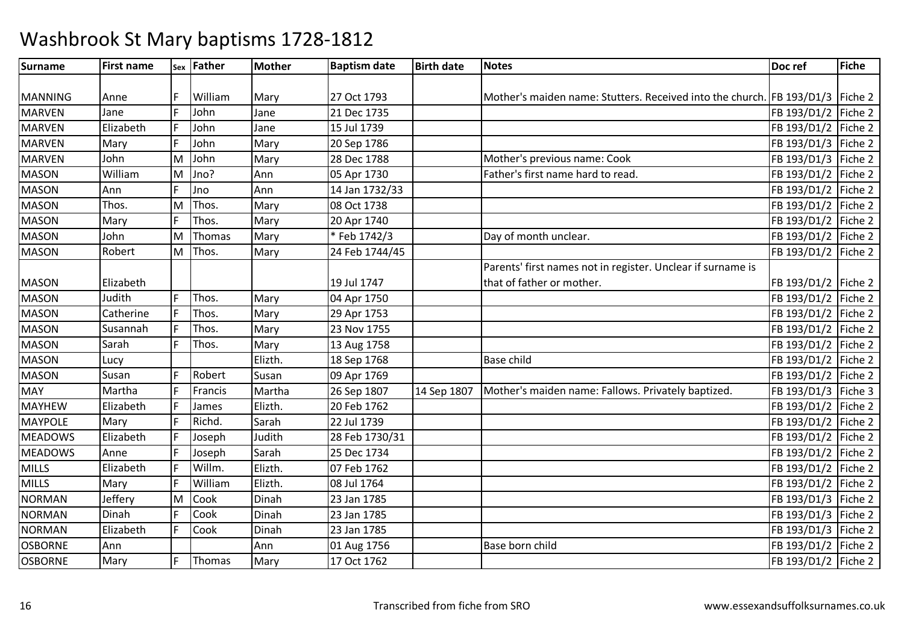| Surname        | <b>First name</b> |   | sex Father | <b>Mother</b> | <b>Baptism date</b> | <b>Birth date</b> | <b>Notes</b>                                                                  | Doc ref               | <b>Fiche</b> |
|----------------|-------------------|---|------------|---------------|---------------------|-------------------|-------------------------------------------------------------------------------|-----------------------|--------------|
|                |                   |   |            |               |                     |                   |                                                                               |                       |              |
| <b>MANNING</b> | Anne              |   | William    | Mary          | 27 Oct 1793         |                   | Mother's maiden name: Stutters. Received into the church. FB 193/D1/3 Fiche 2 |                       |              |
| <b>MARVEN</b>  | Jane              |   | John       | Jane          | 21 Dec 1735         |                   |                                                                               | FB 193/D1/2 Fiche 2   |              |
| <b>MARVEN</b>  | Elizabeth         |   | John       | Jane          | 15 Jul 1739         |                   |                                                                               | FB 193/D1/2   Fiche 2 |              |
| <b>MARVEN</b>  | Mary              |   | John       | Mary          | 20 Sep 1786         |                   |                                                                               | FB 193/D1/3 Fiche 2   |              |
| <b>MARVEN</b>  | John              | M | John       | Mary          | 28 Dec 1788         |                   | Mother's previous name: Cook                                                  | FB 193/D1/3 Fiche 2   |              |
| <b>MASON</b>   | William           | M | Jno?       | Ann           | 05 Apr 1730         |                   | Father's first name hard to read.                                             | FB 193/D1/2 Fiche 2   |              |
| <b>MASON</b>   | Ann               |   | Jno        | Ann           | 14 Jan 1732/33      |                   |                                                                               | FB 193/D1/2 Fiche 2   |              |
| <b>MASON</b>   | Thos.             | M | Thos.      | Mary          | 08 Oct 1738         |                   |                                                                               | FB 193/D1/2 Fiche 2   |              |
| <b>MASON</b>   | Mary              |   | Thos.      | Mary          | 20 Apr 1740         |                   |                                                                               | FB 193/D1/2           | Fiche 2      |
| <b>MASON</b>   | John              | M | Thomas     | Mary          | *Feb 1742/3         |                   | Day of month unclear.                                                         | FB 193/D1/2 Fiche 2   |              |
| <b>MASON</b>   | Robert            |   | M Thos.    | Mary          | 24 Feb 1744/45      |                   |                                                                               | FB 193/D1/2           | Fiche 2      |
|                |                   |   |            |               |                     |                   | Parents' first names not in register. Unclear if surname is                   |                       |              |
| <b>MASON</b>   | Elizabeth         |   |            |               | 19 Jul 1747         |                   | that of father or mother.                                                     | FB 193/D1/2   Fiche 2 |              |
| <b>MASON</b>   | Judith            | E | Thos.      | Mary          | 04 Apr 1750         |                   |                                                                               | FB 193/D1/2 Fiche 2   |              |
| <b>MASON</b>   | Catherine         |   | Thos.      | Mary          | 29 Apr 1753         |                   |                                                                               | FB 193/D1/2           | Fiche 2      |
| <b>MASON</b>   | Susannah          |   | Thos.      | Mary          | 23 Nov 1755         |                   |                                                                               | FB 193/D1/2 Fiche 2   |              |
| <b>MASON</b>   | Sarah             | Ŀ | Thos.      | Mary          | 13 Aug 1758         |                   |                                                                               | FB 193/D1/2           | Fiche 2      |
| <b>MASON</b>   | Lucy              |   |            | Elizth.       | 18 Sep 1768         |                   | <b>Base child</b>                                                             | FB 193/D1/2 Fiche 2   |              |
| <b>MASON</b>   | Susan             |   | Robert     | Susan         | 09 Apr 1769         |                   |                                                                               | FB 193/D1/2           | Fiche 2      |
| <b>MAY</b>     | Martha            |   | Francis    | Martha        | 26 Sep 1807         | 14 Sep 1807       | Mother's maiden name: Fallows. Privately baptized.                            | FB 193/D1/3           | Fiche 3      |
| <b>MAYHEW</b>  | Elizabeth         | Ŀ | James      | Elizth.       | 20 Feb 1762         |                   |                                                                               | FB 193/D1/2           | Fiche 2      |
| <b>MAYPOLE</b> | Mary              |   | Richd.     | Sarah         | 22 Jul 1739         |                   |                                                                               | FB 193/D1/2 Fiche 2   |              |
| <b>MEADOWS</b> | Elizabeth         |   | Joseph     | Judith        | 28 Feb 1730/31      |                   |                                                                               | FB 193/D1/2           | Fiche 2      |
| <b>MEADOWS</b> | Anne              |   | Joseph     | Sarah         | 25 Dec 1734         |                   |                                                                               | FB 193/D1/2 Fiche 2   |              |
| <b>MILLS</b>   | Elizabeth         |   | Willm.     | Elizth.       | 07 Feb 1762         |                   |                                                                               | FB 193/D1/2           | Fiche 2      |
| <b>MILLS</b>   | Mary              |   | William    | Elizth.       | 08 Jul 1764         |                   |                                                                               | FB 193/D1/2           | Fiche 2      |
| <b>NORMAN</b>  | Jeffery           | M | Cook       | Dinah         | 23 Jan 1785         |                   |                                                                               | FB 193/D1/3           | Fiche 2      |
| <b>NORMAN</b>  | Dinah             |   | Cook       | Dinah         | 23 Jan 1785         |                   |                                                                               | FB 193/D1/3           | Fiche 2      |
| <b>NORMAN</b>  | Elizabeth         | E | Cook       | Dinah         | 23 Jan 1785         |                   |                                                                               | FB 193/D1/3           | Fiche 2      |
| <b>OSBORNE</b> | Ann               |   |            | Ann           | 01 Aug 1756         |                   | Base born child                                                               | FB 193/D1/2           | Fiche 2      |
| <b>OSBORNE</b> | Mary              |   | Thomas     | Mary          | 17 Oct 1762         |                   |                                                                               | FB 193/D1/2   Fiche 2 |              |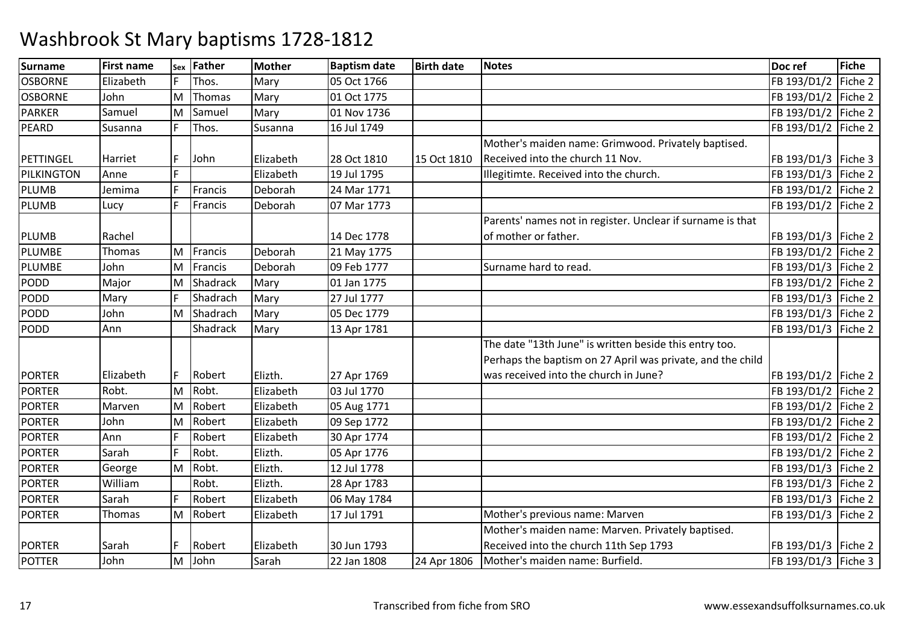| Surname        | <b>First name</b> | Sex | Father   | <b>Mother</b> | <b>Baptism date</b> | <b>Birth date</b> | <b>Notes</b>                                               | Doc ref               | Fiche   |
|----------------|-------------------|-----|----------|---------------|---------------------|-------------------|------------------------------------------------------------|-----------------------|---------|
| <b>OSBORNE</b> | Elizabeth         |     | Thos.    | Mary          | 05 Oct 1766         |                   |                                                            | FB 193/D1/2           | Fiche 2 |
| <b>OSBORNE</b> | John              | İМ  | Thomas   | Mary          | 01 Oct 1775         |                   |                                                            | FB 193/D1/2 Fiche 2   |         |
| <b>PARKER</b>  | Samuel            | M   | Samuel   | Mary          | 01 Nov 1736         |                   |                                                            | FB 193/D1/2 Fiche 2   |         |
| PEARD          | Susanna           |     | Thos.    | Susanna       | 16 Jul 1749         |                   |                                                            | FB 193/D1/2 Fiche 2   |         |
|                |                   |     |          |               |                     |                   | Mother's maiden name: Grimwood. Privately baptised.        |                       |         |
| PETTINGEL      | Harriet           |     | John     | Elizabeth     | 28 Oct 1810         | 15 Oct 1810       | Received into the church 11 Nov.                           | FB 193/D1/3   Fiche 3 |         |
| PILKINGTON     | Anne              |     |          | Elizabeth     | 19 Jul 1795         |                   | Illegitimte. Received into the church.                     | FB 193/D1/3 Fiche 2   |         |
| <b>PLUMB</b>   | Jemima            |     | Francis  | Deborah       | 24 Mar 1771         |                   |                                                            | FB 193/D1/2 Fiche 2   |         |
| <b>PLUMB</b>   | Lucy              |     | Francis  | Deborah       | 07 Mar 1773         |                   |                                                            | FB 193/D1/2   Fiche 2 |         |
|                |                   |     |          |               |                     |                   | Parents' names not in register. Unclear if surname is that |                       |         |
| <b>PLUMB</b>   | Rachel            |     |          |               | 14 Dec 1778         |                   | of mother or father.                                       | FB 193/D1/3 Fiche 2   |         |
| PLUMBE         | Thomas            | M   | Francis  | Deborah       | 21 May 1775         |                   |                                                            | FB 193/D1/2 Fiche 2   |         |
| PLUMBE         | John              | ΙM  | Francis  | Deborah       | 09 Feb 1777         |                   | Surname hard to read.                                      | FB 193/D1/3   Fiche 2 |         |
| <b>PODD</b>    | Major             | ΙM  | Shadrack | Mary          | 01 Jan 1775         |                   |                                                            | FB 193/D1/2 Fiche 2   |         |
| <b>PODD</b>    | Mary              |     | Shadrach | Mary          | 27 Jul 1777         |                   |                                                            | FB 193/D1/3 Fiche 2   |         |
| <b>PODD</b>    | John              | M   | Shadrach | Mary          | 05 Dec 1779         |                   |                                                            | FB 193/D1/3   Fiche 2 |         |
| PODD           | Ann               |     | Shadrack | Mary          | 13 Apr 1781         |                   |                                                            | FB 193/D1/3 Fiche 2   |         |
|                |                   |     |          |               |                     |                   | The date "13th June" is written beside this entry too.     |                       |         |
|                |                   |     |          |               |                     |                   | Perhaps the baptism on 27 April was private, and the child |                       |         |
| <b>PORTER</b>  | Elizabeth         |     | Robert   | Elizth.       | 27 Apr 1769         |                   | was received into the church in June?                      | FB 193/D1/2   Fiche 2 |         |
| <b>PORTER</b>  | Robt.             | M   | Robt.    | Elizabeth     | 03 Jul 1770         |                   |                                                            | FB 193/D1/2   Fiche 2 |         |
| <b>PORTER</b>  | Marven            | lм  | Robert   | Elizabeth     | 05 Aug 1771         |                   |                                                            | FB 193/D1/2   Fiche 2 |         |
| <b>PORTER</b>  | John              | lм  | Robert   | Elizabeth     | 09 Sep 1772         |                   |                                                            | FB 193/D1/2 Fiche 2   |         |
| <b>PORTER</b>  | Ann               |     | Robert   | Elizabeth     | 30 Apr 1774         |                   |                                                            | FB 193/D1/2 Fiche 2   |         |
| <b>PORTER</b>  | Sarah             |     | Robt.    | Elizth.       | 05 Apr 1776         |                   |                                                            | FB 193/D1/2 Fiche 2   |         |
| <b>PORTER</b>  | George            | M   | Robt.    | Elizth.       | 12 Jul 1778         |                   |                                                            | FB 193/D1/3 Fiche 2   |         |
| <b>PORTER</b>  | William           |     | Robt.    | Elizth.       | 28 Apr 1783         |                   |                                                            | FB 193/D1/3 Fiche 2   |         |
| <b>PORTER</b>  | Sarah             |     | Robert   | Elizabeth     | 06 May 1784         |                   |                                                            | FB 193/D1/3 Fiche 2   |         |
| <b>PORTER</b>  | Thomas            | M   | Robert   | Elizabeth     | 17 Jul 1791         |                   | Mother's previous name: Marven                             | FB 193/D1/3   Fiche 2 |         |
|                |                   |     |          |               |                     |                   | Mother's maiden name: Marven. Privately baptised.          |                       |         |
| <b>PORTER</b>  | Sarah             |     | Robert   | Elizabeth     | 30 Jun 1793         |                   | Received into the church 11th Sep 1793                     | FB 193/D1/3   Fiche 2 |         |
| <b>POTTER</b>  | John              | lм  | John     | Sarah         | 22 Jan 1808         | 24 Apr 1806       | Mother's maiden name: Burfield.                            | FB 193/D1/3 Fiche 3   |         |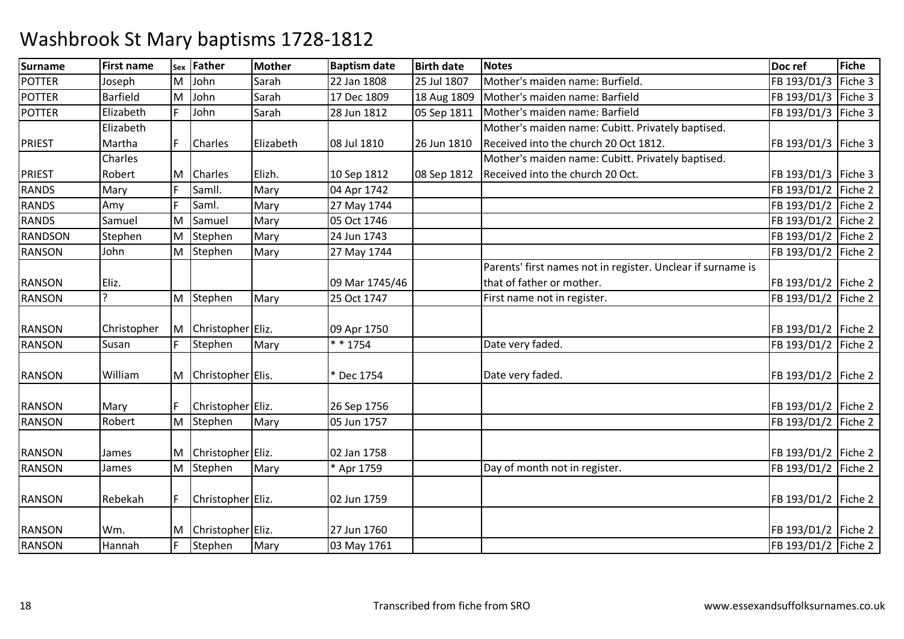| <b>Surname</b> | <b>First name</b> | Sex | <b>Father</b>       | Mother    | <b>Baptism date</b> | <b>Birth date</b> | <b>Notes</b>                                                | Doc ref               | Fiche   |
|----------------|-------------------|-----|---------------------|-----------|---------------------|-------------------|-------------------------------------------------------------|-----------------------|---------|
| POTTER         | Joseph            | M   | John                | Sarah     | 22 Jan 1808         | 25 Jul 1807       | Mother's maiden name: Burfield.                             | FB 193/D1/3           | Fiche 3 |
| <b>POTTER</b>  | <b>Barfield</b>   | M   | John                | Sarah     | 17 Dec 1809         | 18 Aug 1809       | Mother's maiden name: Barfield                              | FB 193/D1/3 Fiche 3   |         |
| <b>POTTER</b>  | Elizabeth         |     | John                | Sarah     | 28 Jun 1812         | 05 Sep 1811       | Mother's maiden name: Barfield                              | FB 193/D1/3   Fiche 3 |         |
|                | Elizabeth         |     |                     |           |                     |                   | Mother's maiden name: Cubitt. Privately baptised.           |                       |         |
| <b>PRIEST</b>  | Martha            |     | <b>Charles</b>      | Elizabeth | 08 Jul 1810         | 26 Jun 1810       | Received into the church 20 Oct 1812.                       | FB 193/D1/3   Fiche 3 |         |
|                | Charles           |     |                     |           |                     |                   | Mother's maiden name: Cubitt. Privately baptised.           |                       |         |
| <b>PRIEST</b>  | Robert            | M   | <b>Charles</b>      | Elizh.    | 10 Sep 1812         | 08 Sep 1812       | Received into the church 20 Oct.                            | FB 193/D1/3   Fiche 3 |         |
| <b>RANDS</b>   | Mary              |     | Samll.              | Mary      | 04 Apr 1742         |                   |                                                             | FB 193/D1/2 Fiche 2   |         |
| <b>RANDS</b>   | Amy               |     | Saml.               | Mary      | 27 May 1744         |                   |                                                             | FB 193/D1/2 Fiche 2   |         |
| <b>RANDS</b>   | Samuel            | M   | Samuel              | Mary      | 05 Oct 1746         |                   |                                                             | FB 193/D1/2 Fiche 2   |         |
| RANDSON        | Stephen           | M   | Stephen             | Mary      | 24 Jun 1743         |                   |                                                             | FB 193/D1/2   Fiche 2 |         |
| <b>RANSON</b>  | John              | M   | Stephen             | Mary      | 27 May 1744         |                   |                                                             | FB 193/D1/2 Fiche 2   |         |
|                |                   |     |                     |           |                     |                   | Parents' first names not in register. Unclear if surname is |                       |         |
| <b>RANSON</b>  | Eliz.             |     |                     |           | 09 Mar 1745/46      |                   | that of father or mother.                                   | FB 193/D1/2 Fiche 2   |         |
| RANSON         | ς                 | M   | Stephen             | Mary      | 25 Oct 1747         |                   | First name not in register.                                 | FB 193/D1/2   Fiche 2 |         |
|                |                   |     |                     |           |                     |                   |                                                             |                       |         |
| <b>RANSON</b>  | Christopher       | M   | Christopher Eliz.   |           | 09 Apr 1750         |                   |                                                             | FB 193/D1/2 Fiche 2   |         |
| <b>RANSON</b>  | Susan             |     | Stephen             | Mary      | $* * 1754$          |                   | Date very faded.                                            | FB 193/D1/2 Fiche 2   |         |
|                |                   |     |                     |           |                     |                   |                                                             |                       |         |
| <b>RANSON</b>  | William           |     | M Christopher Elis. |           | * Dec 1754          |                   | Date very faded.                                            | FB 193/D1/2 Fiche 2   |         |
|                |                   |     |                     |           |                     |                   |                                                             |                       |         |
| <b>RANSON</b>  | Mary              |     | Christopher Eliz.   |           | 26 Sep 1756         |                   |                                                             | FB 193/D1/2   Fiche 2 |         |
| <b>RANSON</b>  | Robert            | M   | Stephen             | Mary      | 05 Jun 1757         |                   |                                                             | FB 193/D1/2 Fiche 2   |         |
|                |                   |     |                     |           |                     |                   |                                                             |                       |         |
| <b>RANSON</b>  | James             |     | Christopher Eliz.   |           | 02 Jan 1758         |                   |                                                             | FB 193/D1/2 Fiche 2   |         |
| <b>RANSON</b>  | James             | M   | Stephen             | Mary      | * Apr 1759          |                   | Day of month not in register.                               | FB 193/D1/2 Fiche 2   |         |
|                |                   |     |                     |           |                     |                   |                                                             |                       |         |
| <b>RANSON</b>  | Rebekah           |     | Christopher Eliz.   |           | 02 Jun 1759         |                   |                                                             | FB 193/D1/2   Fiche 2 |         |
|                |                   |     |                     |           |                     |                   |                                                             |                       |         |
| <b>RANSON</b>  | Wm.               | M   | Christopher Eliz.   |           | 27 Jun 1760         |                   |                                                             | FB 193/D1/2   Fiche 2 |         |
| <b>RANSON</b>  | Hannah            |     | Stephen             | Mary      | 03 May 1761         |                   |                                                             | FB 193/D1/2 Fiche 2   |         |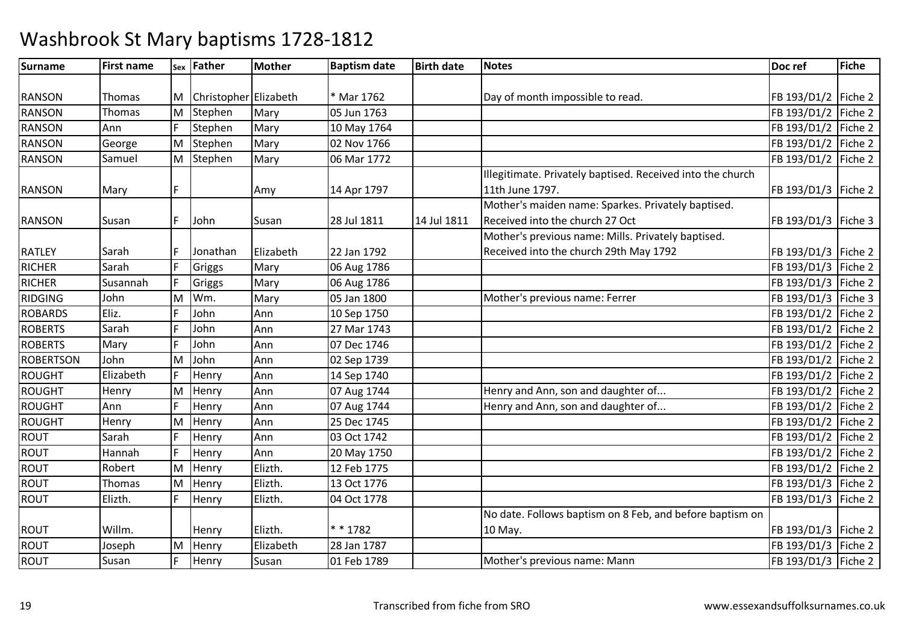| <b>Surname</b>   | <b>First name</b> |    | sex Father              | Mother    | <b>Baptism date</b> | <b>Birth date</b> | <b>Notes</b>                                               | Doc ref               | Fiche   |
|------------------|-------------------|----|-------------------------|-----------|---------------------|-------------------|------------------------------------------------------------|-----------------------|---------|
|                  |                   |    |                         |           |                     |                   |                                                            |                       |         |
| <b>RANSON</b>    | Thomas            |    | M Christopher Elizabeth |           | * Mar 1762          |                   | Day of month impossible to read.                           | FB 193/D1/2   Fiche 2 |         |
| <b>RANSON</b>    | Thomas            | M  | Stephen                 | Mary      | 05 Jun 1763         |                   |                                                            | FB 193/D1/2           | Fiche 2 |
| <b>RANSON</b>    | Ann               |    | Stephen                 | Mary      | 10 May 1764         |                   |                                                            | FB 193/D1/2 Fiche 2   |         |
| <b>RANSON</b>    | George            | M  | Stephen                 | Mary      | 02 Nov 1766         |                   |                                                            | FB 193/D1/2 Fiche 2   |         |
| RANSON           | Samuel            |    | M Stephen               | Mary      | 06 Mar 1772         |                   |                                                            | FB 193/D1/2   Fiche 2 |         |
|                  |                   |    |                         |           |                     |                   | Illegitimate. Privately baptised. Received into the church |                       |         |
| <b>RANSON</b>    | Mary              |    |                         | Amy       | 14 Apr 1797         |                   | 11th June 1797.                                            | FB 193/D1/3   Fiche 2 |         |
|                  |                   |    |                         |           |                     |                   | Mother's maiden name: Sparkes. Privately baptised.         |                       |         |
| <b>RANSON</b>    | Susan             |    | John                    | Susan     | 28 Jul 1811         | 14 Jul 1811       | Received into the church 27 Oct                            | FB 193/D1/3   Fiche 3 |         |
|                  |                   |    |                         |           |                     |                   | Mother's previous name: Mills. Privately baptised.         |                       |         |
| <b>RATLEY</b>    | Sarah             |    | Jonathan                | Elizabeth | 22 Jan 1792         |                   | Received into the church 29th May 1792                     | FB 193/D1/3   Fiche 2 |         |
| RICHER           | Sarah             |    | Griggs                  | Mary      | 06 Aug 1786         |                   |                                                            | FB 193/D1/3 Fiche 2   |         |
| <b>RICHER</b>    | Susannah          | E  | Griggs                  | Mary      | 06 Aug 1786         |                   |                                                            | FB 193/D1/3 Fiche 2   |         |
| RIDGING          | John              | M  | Wm.                     | Mary      | 05 Jan 1800         |                   | Mother's previous name: Ferrer                             | FB 193/D1/3 Fiche 3   |         |
| <b>ROBARDS</b>   | Eliz.             |    | John                    | Ann       | 10 Sep 1750         |                   |                                                            | FB 193/D1/2           | Fiche 2 |
| <b>ROBERTS</b>   | Sarah             |    | John                    | Ann       | 27 Mar 1743         |                   |                                                            | FB 193/D1/2 Fiche 2   |         |
| <b>ROBERTS</b>   | Mary              |    | John                    | Ann       | 07 Dec 1746         |                   |                                                            | FB 193/D1/2           | Fiche 2 |
| <b>ROBERTSON</b> | John              | lΜ | John                    | Ann       | 02 Sep 1739         |                   |                                                            | FB 193/D1/2           | Fiche 2 |
| ROUGHT           | Elizabeth         |    | Henry                   | Ann       | 14 Sep 1740         |                   |                                                            | FB 193/D1/2   Fiche 2 |         |
| ROUGHT           | Henry             | M  | Henry                   | Ann       | 07 Aug 1744         |                   | Henry and Ann, son and daughter of                         | FB 193/D1/2           | Fiche 2 |
| ROUGHT           | Ann               |    | Henry                   | Ann       | 07 Aug 1744         |                   | Henry and Ann, son and daughter of                         | FB 193/D1/2   Fiche 2 |         |
| ROUGHT           | Henry             | M  | Henry                   | Ann       | 25 Dec 1745         |                   |                                                            | FB 193/D1/2           | Fiche 2 |
| <b>ROUT</b>      | Sarah             |    | Henry                   | Ann       | 03 Oct 1742         |                   |                                                            | FB 193/D1/2           | Fiche 2 |
| ROUT             | Hannah            |    | Henry                   | Ann       | 20 May 1750         |                   |                                                            | FB 193/D1/2   Fiche 2 |         |
| ROUT             | Robert            | M  | Henry                   | Elizth.   | 12 Feb 1775         |                   |                                                            | FB 193/D1/2           | Fiche 2 |
| <b>ROUT</b>      | Thomas            | M  | Henry                   | Elizth.   | 13 Oct 1776         |                   |                                                            | FB 193/D1/3           | Fiche 2 |
| <b>ROUT</b>      | Elizth.           |    | Henry                   | Elizth.   | 04 Oct 1778         |                   |                                                            | FB 193/D1/3   Fiche 2 |         |
|                  |                   |    |                         |           |                     |                   | No date. Follows baptism on 8 Feb, and before baptism on   |                       |         |
| <b>ROUT</b>      | Willm.            |    | Henry                   | Elizth.   | * * 1782            |                   | 10 May.                                                    | FB 193/D1/3   Fiche 2 |         |
| <b>ROUT</b>      | Joseph            | M  | Henry                   | Elizabeth | 28 Jan 1787         |                   |                                                            | FB 193/D1/3   Fiche 2 |         |
| <b>ROUT</b>      | Susan             |    | Henry                   | Susan     | 01 Feb 1789         |                   | Mother's previous name: Mann                               | FB 193/D1/3   Fiche 2 |         |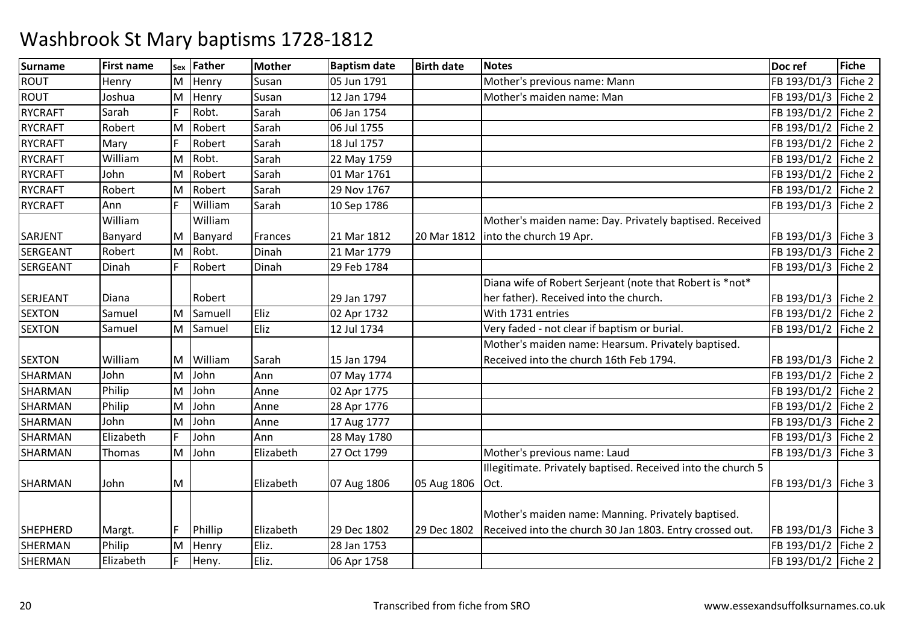| <b>Surname</b>  | <b>First name</b> | Sex | <b>Father</b> | <b>Mother</b> | <b>Baptism date</b> | <b>Birth date</b> | <b>Notes</b>                                                 | Doc ref               | Fiche   |
|-----------------|-------------------|-----|---------------|---------------|---------------------|-------------------|--------------------------------------------------------------|-----------------------|---------|
| ROUT            | Henry             | M   | Henry         | Susan         | 05 Jun 1791         |                   | Mother's previous name: Mann                                 | FB 193/D1/3           | Fiche 2 |
| <b>ROUT</b>     | Joshua            | M   | Henry         | Susan         | 12 Jan 1794         |                   | Mother's maiden name: Man                                    | FB 193/D1/3           | Fiche 2 |
| <b>RYCRAFT</b>  | Sarah             |     | Robt.         | Sarah         | 06 Jan 1754         |                   |                                                              | FB 193/D1/2           | Fiche 2 |
| <b>RYCRAFT</b>  | Robert            | M   | Robert        | Sarah         | 06 Jul 1755         |                   |                                                              | FB 193/D1/2           | Fiche 2 |
| <b>RYCRAFT</b>  | Mary              |     | Robert        | Sarah         | 18 Jul 1757         |                   |                                                              | FB 193/D1/2 Fiche 2   |         |
| <b>RYCRAFT</b>  | William           | M   | Robt.         | Sarah         | 22 May 1759         |                   |                                                              | FB 193/D1/2   Fiche 2 |         |
| <b>RYCRAFT</b>  | John              | M   | Robert        | Sarah         | 01 Mar 1761         |                   |                                                              | FB 193/D1/2           | Fiche 2 |
| <b>RYCRAFT</b>  | Robert            | M   | Robert        | Sarah         | 29 Nov 1767         |                   |                                                              | FB 193/D1/2           | Fiche 2 |
| <b>RYCRAFT</b>  | Ann               |     | William       | Sarah         | 10 Sep 1786         |                   |                                                              | FB 193/D1/3 Fiche 2   |         |
|                 | William           |     | William       |               |                     |                   | Mother's maiden name: Day. Privately baptised. Received      |                       |         |
| SARJENT         | Banyard           | М   | Banyard       | Frances       | 21 Mar 1812         | 20 Mar 1812       | into the church 19 Apr.                                      | FB 193/D1/3   Fiche 3 |         |
| <b>SERGEANT</b> | Robert            | M   | Robt.         | Dinah         | 21 Mar 1779         |                   |                                                              | FB 193/D1/3           | Fiche 2 |
| <b>SERGEANT</b> | Dinah             |     | Robert        | Dinah         | 29 Feb 1784         |                   |                                                              | FB 193/D1/3 Fiche 2   |         |
|                 |                   |     |               |               |                     |                   | Diana wife of Robert Serjeant (note that Robert is *not*     |                       |         |
| <b>SERJEANT</b> | Diana             |     | Robert        |               | 29 Jan 1797         |                   | her father). Received into the church.                       | FB 193/D1/3   Fiche 2 |         |
| <b>SEXTON</b>   | Samuel            | M   | Samuell       | Eliz          | 02 Apr 1732         |                   | With 1731 entries                                            | FB 193/D1/2           | Fiche 2 |
| <b>SEXTON</b>   | Samuel            | M   | Samuel        | Eliz          | 12 Jul 1734         |                   | Very faded - not clear if baptism or burial.                 | FB 193/D1/2 Fiche 2   |         |
|                 |                   |     |               |               |                     |                   | Mother's maiden name: Hearsum. Privately baptised.           |                       |         |
| <b>SEXTON</b>   | William           | М   | William       | Sarah         | 15 Jan 1794         |                   | Received into the church 16th Feb 1794.                      | FB 193/D1/3   Fiche 2 |         |
| SHARMAN         | John              | M   | John          | Ann           | 07 May 1774         |                   |                                                              | FB 193/D1/2           | Fiche 2 |
| SHARMAN         | Philip            | M   | John          | Anne          | 02 Apr 1775         |                   |                                                              | FB 193/D1/2 Fiche 2   |         |
| SHARMAN         | Philip            | M   | John          | Anne          | 28 Apr 1776         |                   |                                                              | FB 193/D1/2           | Fiche 2 |
| SHARMAN         | John              | M   | John          | Anne          | 17 Aug 1777         |                   |                                                              | FB 193/D1/3           | Fiche 2 |
| SHARMAN         | Elizabeth         |     | John          | Ann           | 28 May 1780         |                   |                                                              | FB 193/D1/3           | Fiche 2 |
| SHARMAN         | Thomas            | M   | John          | Elizabeth     | 27 Oct 1799         |                   | Mother's previous name: Laud                                 | FB 193/D1/3   Fiche 3 |         |
|                 |                   |     |               |               |                     |                   | Illegitimate. Privately baptised. Received into the church 5 |                       |         |
| SHARMAN         | John              | M   |               | Elizabeth     | 07 Aug 1806         | 05 Aug 1806       | Oct.                                                         | FB 193/D1/3   Fiche 3 |         |
|                 |                   |     |               |               |                     |                   |                                                              |                       |         |
|                 |                   |     |               |               |                     |                   | Mother's maiden name: Manning. Privately baptised.           |                       |         |
| <b>SHEPHERD</b> | Margt.            |     | Phillip       | Elizabeth     | 29 Dec 1802         | 29 Dec 1802       | Received into the church 30 Jan 1803. Entry crossed out.     | FB 193/D1/3   Fiche 3 |         |
| SHERMAN         | Philip            | M   | Henry         | Eliz.         | 28 Jan 1753         |                   |                                                              | FB 193/D1/2           | Fiche 2 |
| SHERMAN         | Elizabeth         |     | Heny.         | Eliz.         | 06 Apr 1758         |                   |                                                              | FB 193/D1/2   Fiche 2 |         |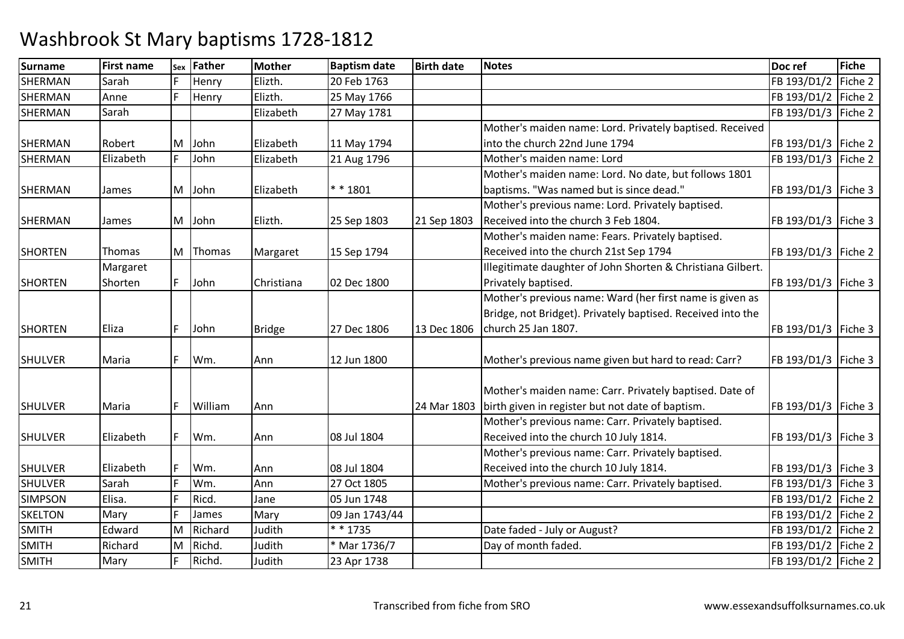| Elizth.<br>Sarah<br>Henry<br>20 Feb 1763<br>FB 193/D1/2<br>Fiche 2<br>Elizth.<br>Henry<br>25 May 1766<br>FB 193/D1/2 Fiche 2<br>Anne<br>Elizabeth<br>Sarah<br>27 May 1781<br>FB 193/D1/3   Fiche 2<br>Mother's maiden name: Lord. Privately baptised. Received<br>Elizabeth<br>into the church 22nd June 1794<br>FB 193/D1/3   Fiche 2<br>Robert<br>John<br>11 May 1794<br>M<br>Elizabeth<br>F<br>John<br>Mother's maiden name: Lord<br>FB 193/D1/3 Fiche 2<br>Elizabeth<br>21 Aug 1796<br>Mother's maiden name: Lord. No date, but follows 1801<br>$* * 1801$<br>baptisms. "Was named but is since dead."<br>Elizabeth<br>FB 193/D1/3   Fiche 3<br>M John<br>James<br>Mother's previous name: Lord. Privately baptised.<br>Received into the church 3 Feb 1804.<br>Elizth.<br>FB 193/D1/3   Fiche 3<br>M John<br>25 Sep 1803<br>21 Sep 1803<br>James<br>Mother's maiden name: Fears. Privately baptised.<br>Received into the church 21st Sep 1794<br>Thomas<br>M Thomas<br>15 Sep 1794<br>FB 193/D1/3   Fiche 2<br>Margaret<br>Illegitimate daughter of John Shorten & Christiana Gilbert.<br>Margaret<br>Privately baptised.<br>John<br>FB 193/D1/3   Fiche 3<br>Shorten<br>Christiana<br>02 Dec 1800 | <b>Surname</b> | <b>First name</b> | Sex | <b>Father</b> | <b>Mother</b> | <b>Baptism date</b> | <b>Birth date</b> | <b>Notes</b> | Doc ref | <b>Fiche</b> |
|----------------------------------------------------------------------------------------------------------------------------------------------------------------------------------------------------------------------------------------------------------------------------------------------------------------------------------------------------------------------------------------------------------------------------------------------------------------------------------------------------------------------------------------------------------------------------------------------------------------------------------------------------------------------------------------------------------------------------------------------------------------------------------------------------------------------------------------------------------------------------------------------------------------------------------------------------------------------------------------------------------------------------------------------------------------------------------------------------------------------------------------------------------------------------------------------------------|----------------|-------------------|-----|---------------|---------------|---------------------|-------------------|--------------|---------|--------------|
|                                                                                                                                                                                                                                                                                                                                                                                                                                                                                                                                                                                                                                                                                                                                                                                                                                                                                                                                                                                                                                                                                                                                                                                                          | <b>SHERMAN</b> |                   |     |               |               |                     |                   |              |         |              |
|                                                                                                                                                                                                                                                                                                                                                                                                                                                                                                                                                                                                                                                                                                                                                                                                                                                                                                                                                                                                                                                                                                                                                                                                          | <b>SHERMAN</b> |                   |     |               |               |                     |                   |              |         |              |
|                                                                                                                                                                                                                                                                                                                                                                                                                                                                                                                                                                                                                                                                                                                                                                                                                                                                                                                                                                                                                                                                                                                                                                                                          | <b>SHERMAN</b> |                   |     |               |               |                     |                   |              |         |              |
|                                                                                                                                                                                                                                                                                                                                                                                                                                                                                                                                                                                                                                                                                                                                                                                                                                                                                                                                                                                                                                                                                                                                                                                                          |                |                   |     |               |               |                     |                   |              |         |              |
|                                                                                                                                                                                                                                                                                                                                                                                                                                                                                                                                                                                                                                                                                                                                                                                                                                                                                                                                                                                                                                                                                                                                                                                                          | SHERMAN        |                   |     |               |               |                     |                   |              |         |              |
|                                                                                                                                                                                                                                                                                                                                                                                                                                                                                                                                                                                                                                                                                                                                                                                                                                                                                                                                                                                                                                                                                                                                                                                                          | <b>SHERMAN</b> |                   |     |               |               |                     |                   |              |         |              |
|                                                                                                                                                                                                                                                                                                                                                                                                                                                                                                                                                                                                                                                                                                                                                                                                                                                                                                                                                                                                                                                                                                                                                                                                          |                |                   |     |               |               |                     |                   |              |         |              |
|                                                                                                                                                                                                                                                                                                                                                                                                                                                                                                                                                                                                                                                                                                                                                                                                                                                                                                                                                                                                                                                                                                                                                                                                          | SHERMAN        |                   |     |               |               |                     |                   |              |         |              |
|                                                                                                                                                                                                                                                                                                                                                                                                                                                                                                                                                                                                                                                                                                                                                                                                                                                                                                                                                                                                                                                                                                                                                                                                          |                |                   |     |               |               |                     |                   |              |         |              |
|                                                                                                                                                                                                                                                                                                                                                                                                                                                                                                                                                                                                                                                                                                                                                                                                                                                                                                                                                                                                                                                                                                                                                                                                          | SHERMAN        |                   |     |               |               |                     |                   |              |         |              |
|                                                                                                                                                                                                                                                                                                                                                                                                                                                                                                                                                                                                                                                                                                                                                                                                                                                                                                                                                                                                                                                                                                                                                                                                          |                |                   |     |               |               |                     |                   |              |         |              |
|                                                                                                                                                                                                                                                                                                                                                                                                                                                                                                                                                                                                                                                                                                                                                                                                                                                                                                                                                                                                                                                                                                                                                                                                          | <b>SHORTEN</b> |                   |     |               |               |                     |                   |              |         |              |
|                                                                                                                                                                                                                                                                                                                                                                                                                                                                                                                                                                                                                                                                                                                                                                                                                                                                                                                                                                                                                                                                                                                                                                                                          |                |                   |     |               |               |                     |                   |              |         |              |
|                                                                                                                                                                                                                                                                                                                                                                                                                                                                                                                                                                                                                                                                                                                                                                                                                                                                                                                                                                                                                                                                                                                                                                                                          | <b>SHORTEN</b> |                   |     |               |               |                     |                   |              |         |              |
| Mother's previous name: Ward (her first name is given as                                                                                                                                                                                                                                                                                                                                                                                                                                                                                                                                                                                                                                                                                                                                                                                                                                                                                                                                                                                                                                                                                                                                                 |                |                   |     |               |               |                     |                   |              |         |              |
| Bridge, not Bridget). Privately baptised. Received into the                                                                                                                                                                                                                                                                                                                                                                                                                                                                                                                                                                                                                                                                                                                                                                                                                                                                                                                                                                                                                                                                                                                                              |                |                   |     |               |               |                     |                   |              |         |              |
| church 25 Jan 1807.<br>13 Dec 1806<br>FB 193/D1/3   Fiche 3<br>John<br><b>Bridge</b><br>27 Dec 1806<br>Eliza                                                                                                                                                                                                                                                                                                                                                                                                                                                                                                                                                                                                                                                                                                                                                                                                                                                                                                                                                                                                                                                                                             | <b>SHORTEN</b> |                   |     |               |               |                     |                   |              |         |              |
|                                                                                                                                                                                                                                                                                                                                                                                                                                                                                                                                                                                                                                                                                                                                                                                                                                                                                                                                                                                                                                                                                                                                                                                                          |                |                   |     |               |               |                     |                   |              |         |              |
| Wm.<br>Mother's previous name given but hard to read: Carr?<br>Maria<br>Ann<br>12 Jun 1800<br>FB 193/D1/3   Fiche 3                                                                                                                                                                                                                                                                                                                                                                                                                                                                                                                                                                                                                                                                                                                                                                                                                                                                                                                                                                                                                                                                                      | <b>SHULVER</b> |                   |     |               |               |                     |                   |              |         |              |
|                                                                                                                                                                                                                                                                                                                                                                                                                                                                                                                                                                                                                                                                                                                                                                                                                                                                                                                                                                                                                                                                                                                                                                                                          |                |                   |     |               |               |                     |                   |              |         |              |
| Mother's maiden name: Carr. Privately baptised. Date of                                                                                                                                                                                                                                                                                                                                                                                                                                                                                                                                                                                                                                                                                                                                                                                                                                                                                                                                                                                                                                                                                                                                                  |                |                   |     |               |               |                     |                   |              |         |              |
| birth given in register but not date of baptism.<br>William<br>Maria<br>24 Mar 1803<br>FB 193/D1/3   Fiche 3<br>Ann                                                                                                                                                                                                                                                                                                                                                                                                                                                                                                                                                                                                                                                                                                                                                                                                                                                                                                                                                                                                                                                                                      | <b>SHULVER</b> |                   |     |               |               |                     |                   |              |         |              |
| Mother's previous name: Carr. Privately baptised.                                                                                                                                                                                                                                                                                                                                                                                                                                                                                                                                                                                                                                                                                                                                                                                                                                                                                                                                                                                                                                                                                                                                                        |                |                   |     |               |               |                     |                   |              |         |              |
| Received into the church 10 July 1814.<br>Elizabeth<br>Wm.<br>FB 193/D1/3   Fiche 3<br>08 Jul 1804<br>Ann                                                                                                                                                                                                                                                                                                                                                                                                                                                                                                                                                                                                                                                                                                                                                                                                                                                                                                                                                                                                                                                                                                | <b>SHULVER</b> |                   |     |               |               |                     |                   |              |         |              |
| Mother's previous name: Carr. Privately baptised.                                                                                                                                                                                                                                                                                                                                                                                                                                                                                                                                                                                                                                                                                                                                                                                                                                                                                                                                                                                                                                                                                                                                                        |                |                   |     |               |               |                     |                   |              |         |              |
| Received into the church 10 July 1814.<br>Elizabeth<br>Wm.<br>08 Jul 1804<br>FB 193/D1/3   Fiche 3<br>Ann                                                                                                                                                                                                                                                                                                                                                                                                                                                                                                                                                                                                                                                                                                                                                                                                                                                                                                                                                                                                                                                                                                | <b>SHULVER</b> |                   |     |               |               |                     |                   |              |         |              |
| Sarah<br>Wm.<br>Mother's previous name: Carr. Privately baptised.<br>Ann<br>27 Oct 1805<br>FB 193/D1/3   Fiche 3                                                                                                                                                                                                                                                                                                                                                                                                                                                                                                                                                                                                                                                                                                                                                                                                                                                                                                                                                                                                                                                                                         | <b>SHULVER</b> |                   |     |               |               |                     |                   |              |         |              |
| Ricd.<br>Elisa.<br>05 Jun 1748<br>FB 193/D1/2   Fiche 2<br>Jane                                                                                                                                                                                                                                                                                                                                                                                                                                                                                                                                                                                                                                                                                                                                                                                                                                                                                                                                                                                                                                                                                                                                          | <b>SIMPSON</b> |                   |     |               |               |                     |                   |              |         |              |
| FB 193/D1/2 Fiche 2<br>Mary<br>James<br>Mary<br>09 Jan 1743/44                                                                                                                                                                                                                                                                                                                                                                                                                                                                                                                                                                                                                                                                                                                                                                                                                                                                                                                                                                                                                                                                                                                                           | <b>SKELTON</b> |                   |     |               |               |                     |                   |              |         |              |
| $* * 1735$<br>Edward<br>Judith<br>Date faded - July or August?<br>FB 193/D1/2 Fiche 2<br>M<br>Richard                                                                                                                                                                                                                                                                                                                                                                                                                                                                                                                                                                                                                                                                                                                                                                                                                                                                                                                                                                                                                                                                                                    | <b>SMITH</b>   |                   |     |               |               |                     |                   |              |         |              |
| Richard<br>Richd.<br>Day of month faded.<br>Judith<br>* Mar 1736/7<br>FB 193/D1/2   Fiche 2<br>M                                                                                                                                                                                                                                                                                                                                                                                                                                                                                                                                                                                                                                                                                                                                                                                                                                                                                                                                                                                                                                                                                                         | <b>SMITH</b>   |                   |     |               |               |                     |                   |              |         |              |
| Richd.<br>Judith<br>FB 193/D1/2   Fiche 2<br>23 Apr 1738<br>Mary                                                                                                                                                                                                                                                                                                                                                                                                                                                                                                                                                                                                                                                                                                                                                                                                                                                                                                                                                                                                                                                                                                                                         | <b>SMITH</b>   |                   |     |               |               |                     |                   |              |         |              |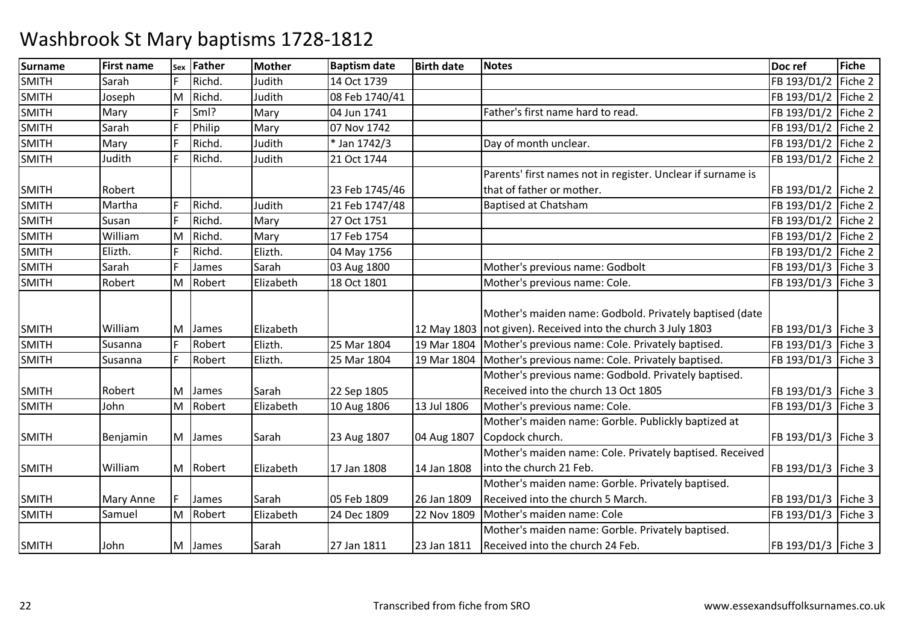| <b>Surname</b> | <b>First name</b> | Sex | <b>Father</b> | <b>Mother</b> | <b>Baptism date</b> | <b>Birth date</b> | <b>Notes</b>                                                   | Doc ref               | Fiche   |
|----------------|-------------------|-----|---------------|---------------|---------------------|-------------------|----------------------------------------------------------------|-----------------------|---------|
| <b>SMITH</b>   | Sarah             |     | Richd.        | Judith        | 14 Oct 1739         |                   |                                                                | FB 193/D1/2           | Fiche 2 |
| <b>SMITH</b>   | Joseph            | M   | Richd.        | Judith        | 08 Feb 1740/41      |                   |                                                                | FB 193/D1/2 Fiche 2   |         |
| <b>SMITH</b>   | Mary              |     | Sml?          | Mary          | 04 Jun 1741         |                   | Father's first name hard to read.                              | FB 193/D1/2   Fiche 2 |         |
| <b>SMITH</b>   | Sarah             |     | Philip        | Mary          | 07 Nov 1742         |                   |                                                                | FB 193/D1/2   Fiche 2 |         |
| <b>SMITH</b>   | Mary              |     | Richd.        | Judith        | * Jan 1742/3        |                   | Day of month unclear.                                          | FB 193/D1/2   Fiche 2 |         |
| <b>SMITH</b>   | Judith            |     | Richd.        | Judith        | 21 Oct 1744         |                   |                                                                | FB 193/D1/2 Fiche 2   |         |
|                |                   |     |               |               |                     |                   | Parents' first names not in register. Unclear if surname is    |                       |         |
| <b>SMITH</b>   | Robert            |     |               |               | 23 Feb 1745/46      |                   | that of father or mother.                                      | FB 193/D1/2   Fiche 2 |         |
| <b>SMITH</b>   | Martha            |     | Richd.        | Judith        | 21 Feb 1747/48      |                   | <b>Baptised at Chatsham</b>                                    | FB 193/D1/2 Fiche 2   |         |
| SMITH          | Susan             |     | Richd.        | Mary          | 27 Oct 1751         |                   |                                                                | FB 193/D1/2 Fiche 2   |         |
| <b>SMITH</b>   | William           | M   | Richd.        | Mary          | 17 Feb 1754         |                   |                                                                | FB 193/D1/2 Fiche 2   |         |
| <b>SMITH</b>   | Elizth.           |     | Richd.        | Elizth.       | 04 May 1756         |                   |                                                                | FB 193/D1/2 Fiche 2   |         |
| <b>SMITH</b>   | Sarah             |     | James         | Sarah         | 03 Aug 1800         |                   | Mother's previous name: Godbolt                                | FB 193/D1/3   Fiche 3 |         |
| <b>SMITH</b>   | Robert            | Iм  | Robert        | Elizabeth     | 18 Oct 1801         |                   | Mother's previous name: Cole.                                  | FB 193/D1/3   Fiche 3 |         |
|                |                   |     |               |               |                     |                   |                                                                |                       |         |
|                |                   |     |               |               |                     |                   | Mother's maiden name: Godbold. Privately baptised (date        |                       |         |
| <b>SMITH</b>   | William           | ΙM  | James         | Elizabeth     |                     |                   | 12 May 1803   not given). Received into the church 3 July 1803 | FB 193/D1/3   Fiche 3 |         |
| <b>SMITH</b>   | Susanna           | F   | Robert        | Elizth.       | 25 Mar 1804         | 19 Mar 1804       | Mother's previous name: Cole. Privately baptised.              | FB 193/D1/3 Fiche 3   |         |
| <b>SMITH</b>   | <b>Susanna</b>    |     | Robert        | Elizth.       | 25 Mar 1804         | 19 Mar 1804       | Mother's previous name: Cole. Privately baptised.              | FB 193/D1/3   Fiche 3 |         |
|                |                   |     |               |               |                     |                   | Mother's previous name: Godbold. Privately baptised.           |                       |         |
| <b>SMITH</b>   | Robert            | M   | James         | Sarah         | 22 Sep 1805         |                   | Received into the church 13 Oct 1805                           | FB 193/D1/3   Fiche 3 |         |
| <b>SMITH</b>   | John              | M   | Robert        | Elizabeth     | 10 Aug 1806         | 13 Jul 1806       | Mother's previous name: Cole.                                  | FB 193/D1/3   Fiche 3 |         |
|                |                   |     |               |               |                     |                   | Mother's maiden name: Gorble. Publickly baptized at            |                       |         |
| <b>SMITH</b>   | Benjamin          |     | M James       | Sarah         | 23 Aug 1807         | 04 Aug 1807       | Copdock church.                                                | FB 193/D1/3   Fiche 3 |         |
|                |                   |     |               |               |                     |                   | Mother's maiden name: Cole. Privately baptised. Received       |                       |         |
| <b>SMITH</b>   | William           |     | M Robert      | Elizabeth     | 17 Jan 1808         | 14 Jan 1808       | into the church 21 Feb.                                        | FB 193/D1/3   Fiche 3 |         |
|                |                   |     |               |               |                     |                   | Mother's maiden name: Gorble. Privately baptised.              |                       |         |
| <b>SMITH</b>   | <b>Mary Anne</b>  |     | James         | Sarah         | 05 Feb 1809         | 26 Jan 1809       | Received into the church 5 March.                              | FB 193/D1/3   Fiche 3 |         |
| <b>SMITH</b>   | Samuel            | M   | Robert        | Elizabeth     | 24 Dec 1809         | 22 Nov 1809       | Mother's maiden name: Cole                                     | FB 193/D1/3   Fiche 3 |         |
|                |                   |     |               |               |                     |                   | Mother's maiden name: Gorble. Privately baptised.              |                       |         |
| <b>SMITH</b>   | John              |     | M James       | Sarah         | 27 Jan 1811         | 23 Jan 1811       | Received into the church 24 Feb.                               | FB 193/D1/3   Fiche 3 |         |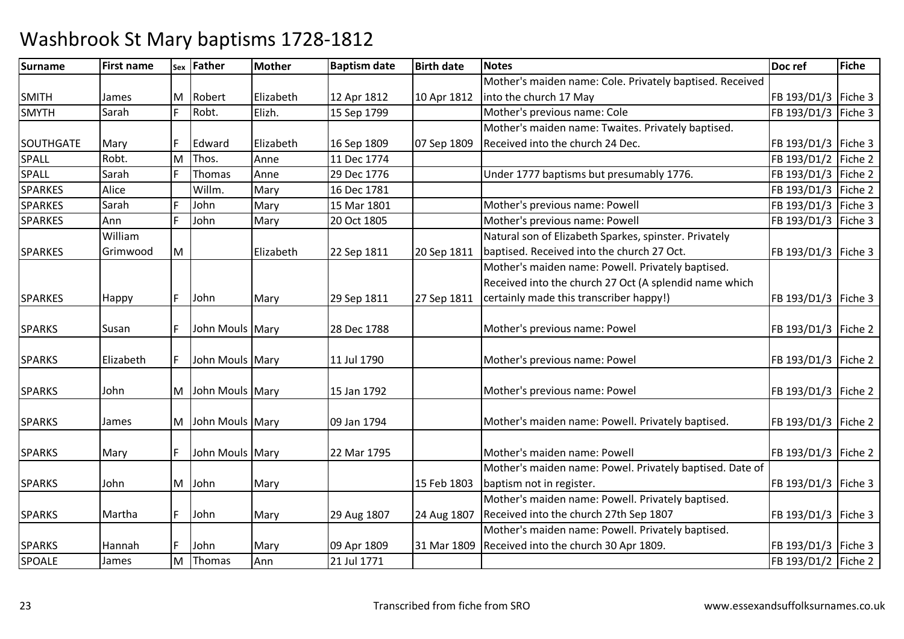| <b>Surname</b> | <b>First name</b> |   | sex Father        | <b>Mother</b> | <b>Baptism date</b> | <b>Birth date</b> | <b>Notes</b>                                             | Doc ref               | Fiche |
|----------------|-------------------|---|-------------------|---------------|---------------------|-------------------|----------------------------------------------------------|-----------------------|-------|
|                |                   |   |                   |               |                     |                   | Mother's maiden name: Cole. Privately baptised. Received |                       |       |
| <b>SMITH</b>   | James             |   | M Robert          | Elizabeth     | 12 Apr 1812         | 10 Apr 1812       | into the church 17 May                                   | FB 193/D1/3   Fiche 3 |       |
| <b>SMYTH</b>   | Sarah             |   | Robt.             | Elizh.        | 15 Sep 1799         |                   | Mother's previous name: Cole                             | FB 193/D1/3   Fiche 3 |       |
|                |                   |   |                   |               |                     |                   | Mother's maiden name: Twaites. Privately baptised.       |                       |       |
| SOUTHGATE      | Mary              |   | Edward            | Elizabeth     | 16 Sep 1809         | 07 Sep 1809       | Received into the church 24 Dec.                         | FB 193/D1/3   Fiche 3 |       |
| SPALL          | Robt.             | M | Thos.             | Anne          | 11 Dec 1774         |                   |                                                          | FB 193/D1/2 Fiche 2   |       |
| <b>SPALL</b>   | Sarah             |   | Thomas            | Anne          | 29 Dec 1776         |                   | Under 1777 baptisms but presumably 1776.                 | FB 193/D1/3 Fiche 2   |       |
| <b>SPARKES</b> | Alice             |   | Willm.            | Mary          | 16 Dec 1781         |                   |                                                          | FB 193/D1/3 Fiche 2   |       |
| <b>SPARKES</b> | Sarah             |   | John              | Mary          | 15 Mar 1801         |                   | Mother's previous name: Powell                           | FB 193/D1/3 Fiche 3   |       |
| <b>SPARKES</b> | Ann               |   | John              | Mary          | 20 Oct 1805         |                   | Mother's previous name: Powell                           | FB 193/D1/3 Fiche 3   |       |
|                | William           |   |                   |               |                     |                   | Natural son of Elizabeth Sparkes, spinster. Privately    |                       |       |
| <b>SPARKES</b> | Grimwood          | M |                   | Elizabeth     | 22 Sep 1811         | 20 Sep 1811       | baptised. Received into the church 27 Oct.               | FB 193/D1/3   Fiche 3 |       |
|                |                   |   |                   |               |                     |                   | Mother's maiden name: Powell. Privately baptised.        |                       |       |
|                |                   |   |                   |               |                     |                   | Received into the church 27 Oct (A splendid name which   |                       |       |
| <b>SPARKES</b> | Happy             |   | John              | Mary          | 29 Sep 1811         | 27 Sep 1811       | certainly made this transcriber happy!)                  | FB 193/D1/3   Fiche 3 |       |
|                |                   |   |                   |               |                     |                   |                                                          |                       |       |
| <b>SPARKS</b>  | Susan             |   | John Mouls Mary   |               | 28 Dec 1788         |                   | Mother's previous name: Powel                            | FB 193/D1/3 Fiche 2   |       |
|                |                   |   |                   |               |                     |                   |                                                          |                       |       |
| <b>SPARKS</b>  | Elizabeth         |   | John Mouls Mary   |               | 11 Jul 1790         |                   | Mother's previous name: Powel                            | FB 193/D1/3   Fiche 2 |       |
|                |                   |   |                   |               |                     |                   |                                                          |                       |       |
| <b>SPARKS</b>  | John              |   | M John Mouls Mary |               | 15 Jan 1792         |                   | Mother's previous name: Powel                            | FB 193/D1/3   Fiche 2 |       |
|                |                   |   |                   |               |                     |                   |                                                          |                       |       |
| <b>SPARKS</b>  | James             |   | M John Mouls Mary |               | 09 Jan 1794         |                   | Mother's maiden name: Powell. Privately baptised.        | FB 193/D1/3   Fiche 2 |       |
|                |                   |   |                   |               |                     |                   |                                                          |                       |       |
| <b>SPARKS</b>  | Mary              |   | John Mouls Mary   |               | 22 Mar 1795         |                   | Mother's maiden name: Powell                             | FB 193/D1/3   Fiche 2 |       |
|                |                   |   |                   |               |                     |                   | Mother's maiden name: Powel. Privately baptised. Date of |                       |       |
| <b>SPARKS</b>  | John              |   | M John            | Mary          |                     | 15 Feb 1803       | baptism not in register.                                 | FB 193/D1/3   Fiche 3 |       |
|                |                   |   |                   |               |                     |                   | Mother's maiden name: Powell. Privately baptised.        |                       |       |
| <b>SPARKS</b>  | Martha            |   | John              | Mary          | 29 Aug 1807         | 24 Aug 1807       | Received into the church 27th Sep 1807                   | FB 193/D1/3   Fiche 3 |       |
|                |                   |   |                   |               |                     |                   | Mother's maiden name: Powell. Privately baptised.        |                       |       |
| <b>SPARKS</b>  | Hannah            |   | John              | Mary          | 09 Apr 1809         | 31 Mar 1809       | Received into the church 30 Apr 1809.                    | FB 193/D1/3   Fiche 3 |       |
| SPOALE         | James             | M | Thomas            | Ann           | 21 Jul 1771         |                   |                                                          | FB 193/D1/2 Fiche 2   |       |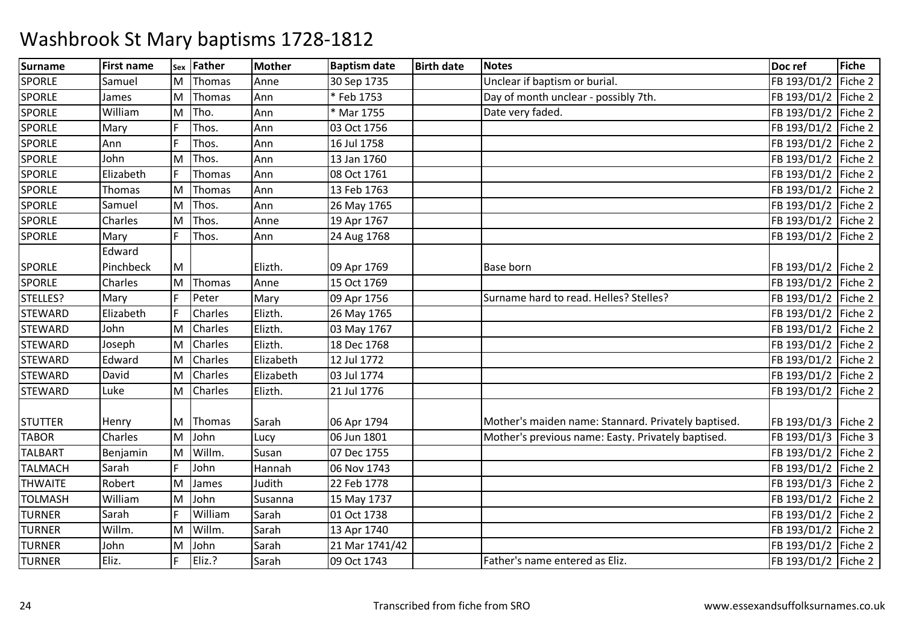| Surname        | <b>First name</b> | Sex | Father         | <b>Mother</b> | <b>Baptism date</b> | <b>Birth date</b> | <b>Notes</b>                                        | Doc ref               | Fiche   |
|----------------|-------------------|-----|----------------|---------------|---------------------|-------------------|-----------------------------------------------------|-----------------------|---------|
| <b>SPORLE</b>  | Samuel            | M   | Thomas         | Anne          | 30 Sep 1735         |                   | Unclear if baptism or burial.                       | FB 193/D1/2           | Fiche 2 |
| <b>SPORLE</b>  | James             | M   | Thomas         | Ann           | *Feb 1753           |                   | Day of month unclear - possibly 7th.                | FB 193/D1/2 Fiche 2   |         |
| <b>SPORLE</b>  | William           | M   | Tho.           | Ann           | * Mar 1755          |                   | Date very faded.                                    | FB 193/D1/2 Fiche 2   |         |
| <b>SPORLE</b>  | Mary              |     | Thos.          | Ann           | 03 Oct 1756         |                   |                                                     | FB 193/D1/2           | Fiche 2 |
| <b>SPORLE</b>  | Ann               |     | Thos.          | Ann           | 16 Jul 1758         |                   |                                                     | FB 193/D1/2 Fiche 2   |         |
| <b>SPORLE</b>  | John              | M   | Thos.          | Ann           | 13 Jan 1760         |                   |                                                     | FB 193/D1/2 Fiche 2   |         |
| <b>SPORLE</b>  | Elizabeth         |     | Thomas         | Ann           | 08 Oct 1761         |                   |                                                     | FB 193/D1/2 Fiche 2   |         |
| <b>SPORLE</b>  | Thomas            | M   | Thomas         | Ann           | 13 Feb 1763         |                   |                                                     | FB 193/D1/2           | Fiche 2 |
| <b>SPORLE</b>  | Samuel            | M   | Thos.          | Ann           | 26 May 1765         |                   |                                                     | FB 193/D1/2 Fiche 2   |         |
| <b>SPORLE</b>  | Charles           | M   | Thos.          | Anne          | 19 Apr 1767         |                   |                                                     | FB 193/D1/2 Fiche 2   |         |
| <b>SPORLE</b>  | Mary              |     | Thos.          | Ann           | 24 Aug 1768         |                   |                                                     | FB 193/D1/2           | Fiche 2 |
|                | Edward            |     |                |               |                     |                   |                                                     |                       |         |
| <b>SPORLE</b>  | Pinchbeck         | M   |                | Elizth.       | 09 Apr 1769         |                   | <b>Base born</b>                                    | FB 193/D1/2   Fiche 2 |         |
| <b>SPORLE</b>  | Charles           | M   | Thomas         | Anne          | 15 Oct 1769         |                   |                                                     | FB 193/D1/2 Fiche 2   |         |
| STELLES?       | Mary              |     | Peter          | Mary          | 09 Apr 1756         |                   | Surname hard to read. Helles? Stelles?              | FB 193/D1/2 Fiche 2   |         |
| <b>STEWARD</b> | Elizabeth         |     | Charles        | Elizth.       | 26 May 1765         |                   |                                                     | FB 193/D1/2           | Fiche 2 |
| <b>STEWARD</b> | John              | M   | Charles        | Elizth.       | 03 May 1767         |                   |                                                     | FB 193/D1/2 Fiche 2   |         |
| <b>STEWARD</b> | Joseph            | M   | <b>Charles</b> | Elizth.       | 18 Dec 1768         |                   |                                                     | FB 193/D1/2           | Fiche 2 |
| <b>STEWARD</b> | Edward            | M   | Charles        | Elizabeth     | 12 Jul 1772         |                   |                                                     | FB 193/D1/2           | Fiche 2 |
| <b>STEWARD</b> | David             | м   | <b>Charles</b> | Elizabeth     | 03 Jul 1774         |                   |                                                     | FB 193/D1/2           | Fiche 2 |
| <b>STEWARD</b> | Luke              | M   | Charles        | Elizth.       | 21 Jul 1776         |                   |                                                     | FB 193/D1/2           | Fiche 2 |
|                |                   |     |                |               |                     |                   |                                                     |                       |         |
| <b>STUTTER</b> | Henry             | M   | Thomas         | Sarah         | 06 Apr 1794         |                   | Mother's maiden name: Stannard. Privately baptised. | FB 193/D1/3   Fiche 2 |         |
| <b>TABOR</b>   | Charles           | M   | John           | Lucy          | 06 Jun 1801         |                   | Mother's previous name: Easty. Privately baptised.  | FB 193/D1/3 Fiche 3   |         |
| <b>TALBART</b> | Benjamin          | M   | Willm.         | Susan         | 07 Dec 1755         |                   |                                                     | FB 193/D1/2 Fiche 2   |         |
| <b>TALMACH</b> | Sarah             |     | John           | Hannah        | 06 Nov 1743         |                   |                                                     | FB 193/D1/2 Fiche 2   |         |
| <b>THWAITE</b> | Robert            | M   | James          | Judith        | 22 Feb 1778         |                   |                                                     | FB 193/D1/3           | Fiche 2 |
| <b>TOLMASH</b> | William           | M   | John           | Susanna       | 15 May 1737         |                   |                                                     | FB 193/D1/2 Fiche 2   |         |
| <b>TURNER</b>  | Sarah             |     | William        | Sarah         | 01 Oct 1738         |                   |                                                     | FB 193/D1/2 Fiche 2   |         |
| <b>TURNER</b>  | Willm.            | M   | Willm.         | Sarah         | 13 Apr 1740         |                   |                                                     | FB 193/D1/2 Fiche 2   |         |
| <b>TURNER</b>  | John              | M   | John           | Sarah         | 21 Mar 1741/42      |                   |                                                     | FB 193/D1/2           | Fiche 2 |
| <b>TURNER</b>  | Eliz.             |     | Eliz.?         | Sarah         | 09 Oct 1743         |                   | Father's name entered as Eliz.                      | FB 193/D1/2 Fiche 2   |         |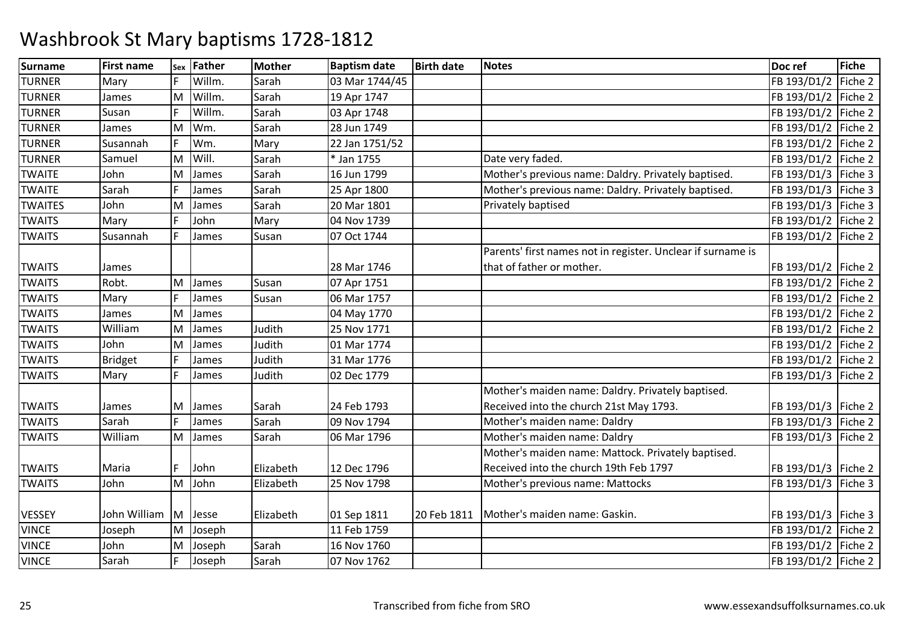| Surname        | <b>First name</b> | Sex | Father | <b>Mother</b> | <b>Baptism date</b> | <b>Birth date</b> | <b>Notes</b>                                                | Doc ref               | <b>Fiche</b> |
|----------------|-------------------|-----|--------|---------------|---------------------|-------------------|-------------------------------------------------------------|-----------------------|--------------|
| <b>TURNER</b>  | Mary              |     | Willm. | Sarah         | 03 Mar 1744/45      |                   |                                                             | FB 193/D1/2           | Fiche 2      |
| <b>TURNER</b>  | James             | ΙM  | Willm. | Sarah         | 19 Apr 1747         |                   |                                                             | FB 193/D1/2 Fiche 2   |              |
| <b>TURNER</b>  | Susan             |     | Willm. | Sarah         | 03 Apr 1748         |                   |                                                             | FB 193/D1/2 Fiche 2   |              |
| <b>TURNER</b>  | James             | M   | Wm.    | Sarah         | 28 Jun 1749         |                   |                                                             | FB 193/D1/2           | Fiche 2      |
| <b>TURNER</b>  | Susannah          |     | Wm.    | Mary          | 22 Jan 1751/52      |                   |                                                             | FB 193/D1/2 Fiche 2   |              |
| <b>TURNER</b>  | Samuel            | ΙM  | Will.  | Sarah         | * Jan 1755          |                   | Date very faded.                                            | FB 193/D1/2   Fiche 2 |              |
| <b>TWAITE</b>  | John              | M   | James  | Sarah         | 16 Jun 1799         |                   | Mother's previous name: Daldry. Privately baptised.         | FB 193/D1/3 Fiche 3   |              |
| <b>TWAITE</b>  | Sarah             |     | James  | Sarah         | 25 Apr 1800         |                   | Mother's previous name: Daldry. Privately baptised.         | FB 193/D1/3 Fiche 3   |              |
| <b>TWAITES</b> | John              | M   | James  | Sarah         | 20 Mar 1801         |                   | Privately baptised                                          | FB 193/D1/3 Fiche 3   |              |
| <b>TWAITS</b>  | Mary              |     | John   | Mary          | 04 Nov 1739         |                   |                                                             | FB 193/D1/2 Fiche 2   |              |
| <b>TWAITS</b>  | Susannah          |     | James  | Susan         | 07 Oct 1744         |                   |                                                             | FB 193/D1/2           | Fiche 2      |
|                |                   |     |        |               |                     |                   | Parents' first names not in register. Unclear if surname is |                       |              |
| <b>TWAITS</b>  | James             |     |        |               | 28 Mar 1746         |                   | that of father or mother.                                   | FB 193/D1/2   Fiche 2 |              |
| <b>TWAITS</b>  | Robt.             | M   | James  | Susan         | 07 Apr 1751         |                   |                                                             | FB 193/D1/2 Fiche 2   |              |
| <b>TWAITS</b>  | Mary              |     | James  | Susan         | 06 Mar 1757         |                   |                                                             | FB 193/D1/2 Fiche 2   |              |
| <b>TWAITS</b>  | James             | M   | James  |               | 04 May 1770         |                   |                                                             | FB 193/D1/2 Fiche 2   |              |
| <b>TWAITS</b>  | William           | M   | James  | Judith        | 25 Nov 1771         |                   |                                                             | FB 193/D1/2 Fiche 2   |              |
| <b>TWAITS</b>  | John              | M   | James  | Judith        | 01 Mar 1774         |                   |                                                             | FB 193/D1/2   Fiche 2 |              |
| <b>TWAITS</b>  | <b>Bridget</b>    |     | James  | Judith        | 31 Mar 1776         |                   |                                                             | FB 193/D1/2           | Fiche 2      |
| <b>TWAITS</b>  | Mary              |     | James  | Judith        | 02 Dec 1779         |                   |                                                             | FB 193/D1/3 Fiche 2   |              |
|                |                   |     |        |               |                     |                   | Mother's maiden name: Daldry. Privately baptised.           |                       |              |
| <b>TWAITS</b>  | James             | M   | James  | Sarah         | 24 Feb 1793         |                   | Received into the church 21st May 1793.                     | FB 193/D1/3 Fiche 2   |              |
| <b>TWAITS</b>  | Sarah             |     | James  | Sarah         | 09 Nov 1794         |                   | Mother's maiden name: Daldry                                | FB 193/D1/3 Fiche 2   |              |
| <b>TWAITS</b>  | William           | M   | James  | Sarah         | 06 Mar 1796         |                   | Mother's maiden name: Daldry                                | FB 193/D1/3 Fiche 2   |              |
|                |                   |     |        |               |                     |                   | Mother's maiden name: Mattock. Privately baptised.          |                       |              |
| <b>TWAITS</b>  | Maria             |     | John   | Elizabeth     | 12 Dec 1796         |                   | Received into the church 19th Feb 1797                      | FB 193/D1/3   Fiche 2 |              |
| <b>TWAITS</b>  | John              | M   | John   | Elizabeth     | 25 Nov 1798         |                   | Mother's previous name: Mattocks                            | FB 193/D1/3 Fiche 3   |              |
|                |                   |     |        |               |                     |                   |                                                             |                       |              |
| <b>VESSEY</b>  | John William      | M   | Jesse  | Elizabeth     | 01 Sep 1811         | 20 Feb 1811       | Mother's maiden name: Gaskin.                               | FB 193/D1/3   Fiche 3 |              |
| <b>VINCE</b>   | Joseph            | ΙM  | Joseph |               | 11 Feb 1759         |                   |                                                             | FB 193/D1/2 Fiche 2   |              |
| <b>VINCE</b>   | John              | M   | Joseph | Sarah         | 16 Nov 1760         |                   |                                                             | FB 193/D1/2 Fiche 2   |              |
| <b>VINCE</b>   | Sarah             |     | Joseph | Sarah         | 07 Nov 1762         |                   |                                                             | FB 193/D1/2   Fiche 2 |              |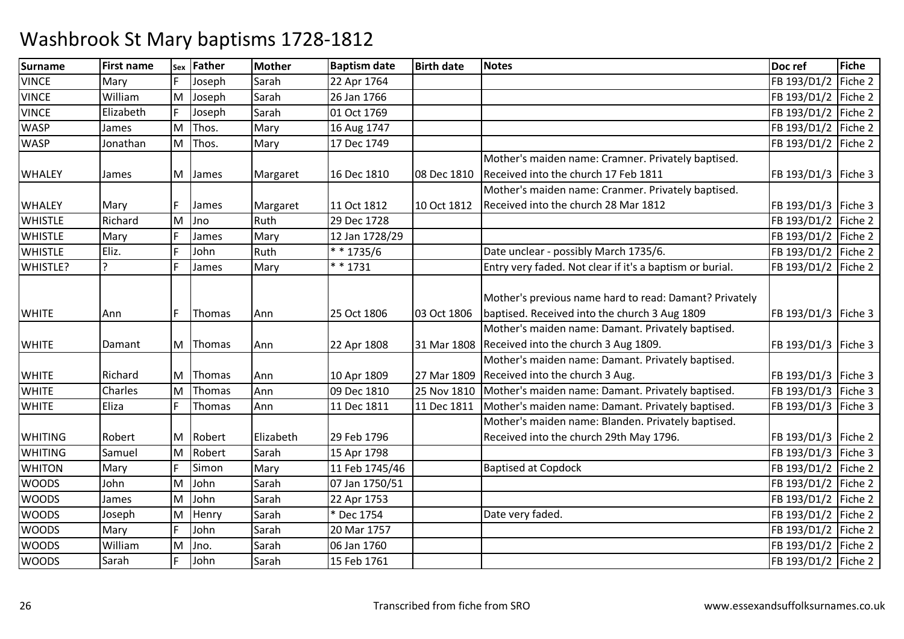| <b>Surname</b> | <b>First name</b> | Sex | Father | <b>Mother</b> | <b>Baptism date</b> | <b>Birth date</b> | <b>Notes</b>                                             | Doc ref               | <b>Fiche</b> |
|----------------|-------------------|-----|--------|---------------|---------------------|-------------------|----------------------------------------------------------|-----------------------|--------------|
| <b>VINCE</b>   | Mary              |     | Joseph | Sarah         | 22 Apr 1764         |                   |                                                          | FB 193/D1/2           | Fiche 2      |
| <b>VINCE</b>   | William           | M   | Joseph | Sarah         | 26 Jan 1766         |                   |                                                          | FB 193/D1/2   Fiche 2 |              |
| <b>VINCE</b>   | Elizabeth         |     | Joseph | Sarah         | 01 Oct 1769         |                   |                                                          | FB 193/D1/2 Fiche 2   |              |
| <b>WASP</b>    | James             | M   | Thos.  | Mary          | 16 Aug 1747         |                   |                                                          | FB 193/D1/2           | Fiche 2      |
| <b>WASP</b>    | Jonathan          | M   | Thos.  | Mary          | 17 Dec 1749         |                   |                                                          | FB 193/D1/2   Fiche 2 |              |
|                |                   |     |        |               |                     |                   | Mother's maiden name: Cramner. Privately baptised.       |                       |              |
| <b>WHALEY</b>  | James             | M   | James  | Margaret      | 16 Dec 1810         | 08 Dec 1810       | Received into the church 17 Feb 1811                     | FB 193/D1/3   Fiche 3 |              |
|                |                   |     |        |               |                     |                   | Mother's maiden name: Cranmer. Privately baptised.       |                       |              |
| <b>WHALEY</b>  | Mary              |     | James  | Margaret      | 11 Oct 1812         | 10 Oct 1812       | Received into the church 28 Mar 1812                     | FB 193/D1/3   Fiche 3 |              |
| <b>WHISTLE</b> | Richard           | M   | Jno    | Ruth          | 29 Dec 1728         |                   |                                                          | FB 193/D1/2 Fiche 2   |              |
| <b>WHISTLE</b> | Mary              |     | James  | Mary          | 12 Jan 1728/29      |                   |                                                          | FB 193/D1/2 Fiche 2   |              |
| <b>WHISTLE</b> | Eliz.             |     | John   | Ruth          | $* * 1735/6$        |                   | Date unclear - possibly March 1735/6.                    | FB 193/D1/2   Fiche 2 |              |
| WHISTLE?       | Ç                 | E   | James  | Mary          | $* * 1731$          |                   | Entry very faded. Not clear if it's a baptism or burial. | FB 193/D1/2 Fiche 2   |              |
|                |                   |     |        |               |                     |                   |                                                          |                       |              |
|                |                   |     |        |               |                     |                   | Mother's previous name hard to read: Damant? Privately   |                       |              |
| <b>WHITE</b>   | Ann               |     | Thomas | Ann           | 25 Oct 1806         | 03 Oct 1806       | baptised. Received into the church 3 Aug 1809            | FB 193/D1/3   Fiche 3 |              |
|                |                   |     |        |               |                     |                   | Mother's maiden name: Damant. Privately baptised.        |                       |              |
| <b>WHITE</b>   | Damant            | M   | Thomas | Ann           | 22 Apr 1808         | 31 Mar 1808       | Received into the church 3 Aug 1809.                     | FB 193/D1/3   Fiche 3 |              |
|                |                   |     |        |               |                     |                   | Mother's maiden name: Damant. Privately baptised.        |                       |              |
| <b>WHITE</b>   | Richard           | М   | Thomas | Ann           | 10 Apr 1809         | 27 Mar 1809       | Received into the church 3 Aug.                          | FB 193/D1/3   Fiche 3 |              |
| <b>WHITE</b>   | Charles           | M   | Thomas | Ann           | 09 Dec 1810         | 25 Nov 1810       | Mother's maiden name: Damant. Privately baptised.        | FB 193/D1/3 Fiche 3   |              |
| <b>WHITE</b>   | Eliza             |     | Thomas | Ann           | 11 Dec 1811         | 11 Dec 1811       | Mother's maiden name: Damant. Privately baptised.        | FB 193/D1/3 Fiche 3   |              |
|                |                   |     |        |               |                     |                   | Mother's maiden name: Blanden. Privately baptised.       |                       |              |
| <b>WHITING</b> | Robert            | м   | Robert | Elizabeth     | 29 Feb 1796         |                   | Received into the church 29th May 1796.                  | FB 193/D1/3   Fiche 2 |              |
| <b>WHITING</b> | Samuel            | M   | Robert | Sarah         | 15 Apr 1798         |                   |                                                          | FB 193/D1/3   Fiche 3 |              |
| <b>WHITON</b>  | Mary              |     | Simon  | Mary          | 11 Feb 1745/46      |                   | <b>Baptised at Copdock</b>                               | FB 193/D1/2 Fiche 2   |              |
| <b>WOODS</b>   | John              | M   | John   | Sarah         | 07 Jan 1750/51      |                   |                                                          | FB 193/D1/2           | Fiche 2      |
| <b>WOODS</b>   | James             | M   | John   | Sarah         | 22 Apr 1753         |                   |                                                          | FB 193/D1/2   Fiche 2 |              |
| <b>WOODS</b>   | Joseph            | M   | Henry  | Sarah         | * Dec 1754          |                   | Date very faded.                                         | FB 193/D1/2           | Fiche 2      |
| <b>WOODS</b>   | Mary              |     | John   | Sarah         | 20 Mar 1757         |                   |                                                          | FB 193/D1/2   Fiche 2 |              |
| <b>WOODS</b>   | William           | M   | Jno.   | Sarah         | 06 Jan 1760         |                   |                                                          | FB 193/D1/2           | Fiche 2      |
| <b>WOODS</b>   | Sarah             |     | John   | Sarah         | 15 Feb 1761         |                   |                                                          | FB 193/D1/2   Fiche 2 |              |